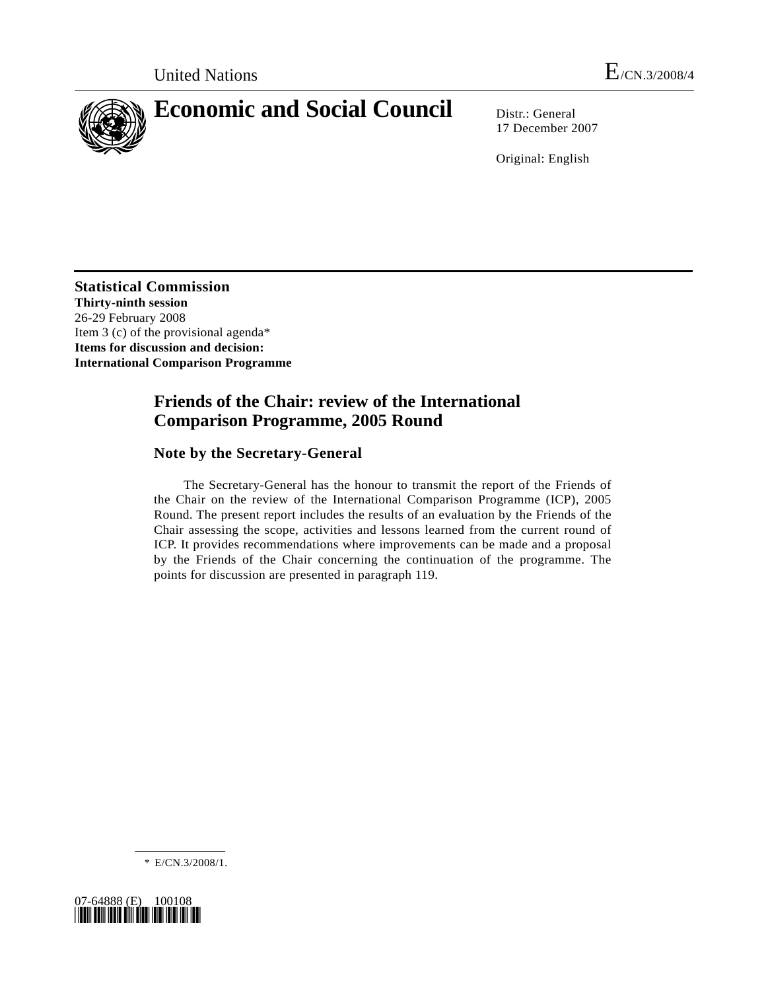

# **Economic and Social Council** Distr.: General

17 December 2007

Original: English

**Statistical Commission Thirty-ninth session**  26-29 February 2008 Item 3 (c) of the provisional agenda\* **Items for discussion and decision: International Comparison Programme** 

# **Friends of the Chair: review of the International Comparison Programme, 2005 Round**

# **Note by the Secretary-General**

 The Secretary-General has the honour to transmit the report of the Friends of the Chair on the review of the International Comparison Programme (ICP), 2005 Round. The present report includes the results of an evaluation by the Friends of the Chair assessing the scope, activities and lessons learned from the current round of ICP. It provides recommendations where improvements can be made and a proposal by the Friends of the Chair concerning the continuation of the programme. The points for discussion are presented in paragraph 119.

\* E/CN.3/2008/1.

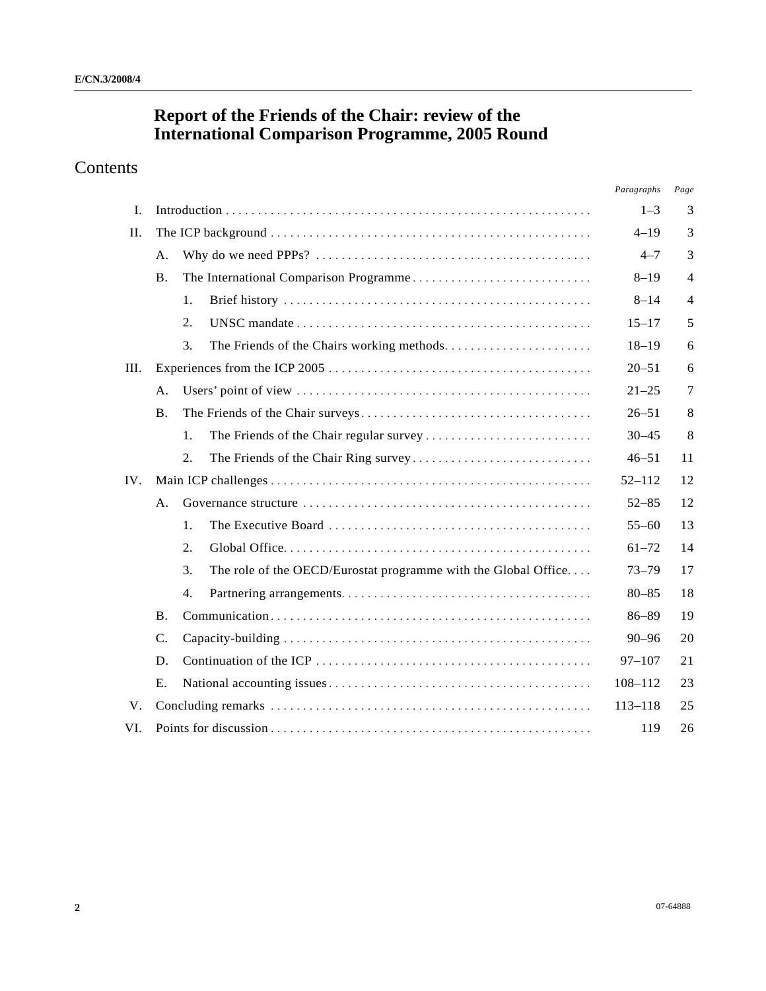# **Report of the Friends of the Chair: review of the International Comparison Programme, 2005 Round**

# Contents

|      |                 |     |                                                                | Paragraphs | Page           |
|------|-----------------|-----|----------------------------------------------------------------|------------|----------------|
| I.   |                 |     |                                                                |            | 3              |
| II.  |                 |     |                                                                |            | 3              |
|      | A.              |     |                                                                | $4 - 7$    | 3              |
|      | <b>B.</b>       |     |                                                                | $8 - 19$   | $\overline{4}$ |
|      |                 | 1.  |                                                                | $8 - 14$   | 4              |
|      |                 | 2.  |                                                                | $15 - 17$  | 5              |
|      |                 | 3.  |                                                                | $18 - 19$  | 6              |
| III. |                 |     | $20 - 51$                                                      | 6          |                |
|      | А.              |     |                                                                | $21 - 25$  | 7              |
|      | <b>B.</b>       |     |                                                                | $26 - 51$  | 8              |
|      |                 | 1.  |                                                                | $30 - 45$  | 8              |
|      |                 | 2.  |                                                                | $46 - 51$  | 11             |
| IV.  |                 |     |                                                                | $52 - 112$ | 12             |
|      | A.              |     |                                                                | $52 - 85$  | 12             |
|      |                 | 1.  |                                                                | $55 - 60$  | 13             |
|      |                 | 2.  |                                                                | $61 - 72$  | 14             |
|      |                 | 3.  | The role of the OECD/Eurostat programme with the Global Office | $73 - 79$  | 17             |
|      |                 | 4.  |                                                                | $80 - 85$  | 18             |
|      | <b>B.</b>       |     |                                                                | $86 - 89$  | 19             |
|      | $\mathcal{C}$ . |     |                                                                | $90 - 96$  | 20             |
|      | D.              |     |                                                                | $97 - 107$ | 21             |
|      | Ε.              |     |                                                                | 108-112    | 23             |
| V.   |                 |     |                                                                |            | 25             |
| VI.  |                 | 119 |                                                                |            | 26             |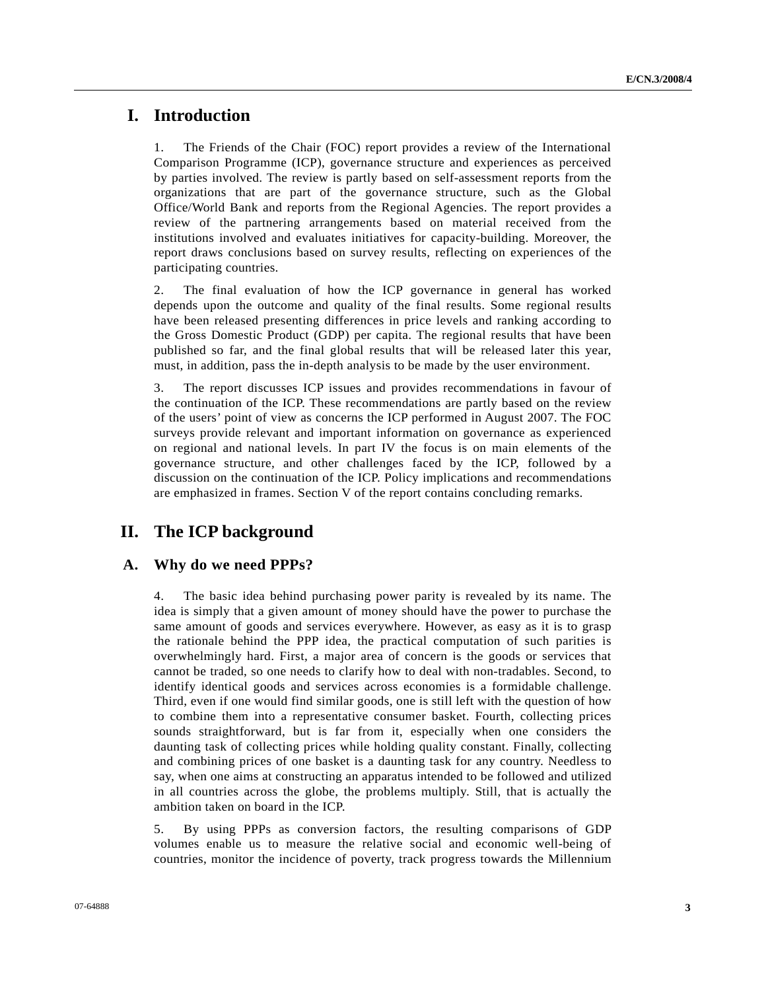# **I. Introduction**

1. The Friends of the Chair (FOC) report provides a review of the International Comparison Programme (ICP), governance structure and experiences as perceived by parties involved. The review is partly based on self-assessment reports from the organizations that are part of the governance structure, such as the Global Office/World Bank and reports from the Regional Agencies. The report provides a review of the partnering arrangements based on material received from the institutions involved and evaluates initiatives for capacity-building. Moreover, the report draws conclusions based on survey results, reflecting on experiences of the participating countries.

2. The final evaluation of how the ICP governance in general has worked depends upon the outcome and quality of the final results. Some regional results have been released presenting differences in price levels and ranking according to the Gross Domestic Product (GDP) per capita. The regional results that have been published so far, and the final global results that will be released later this year, must, in addition, pass the in-depth analysis to be made by the user environment.

3. The report discusses ICP issues and provides recommendations in favour of the continuation of the ICP. These recommendations are partly based on the review of the users' point of view as concerns the ICP performed in August 2007. The FOC surveys provide relevant and important information on governance as experienced on regional and national levels. In part IV the focus is on main elements of the governance structure, and other challenges faced by the ICP, followed by a discussion on the continuation of the ICP. Policy implications and recommendations are emphasized in frames. Section V of the report contains concluding remarks.

# **II. The ICP background**

# **A. Why do we need PPPs?**

4. The basic idea behind purchasing power parity is revealed by its name. The idea is simply that a given amount of money should have the power to purchase the same amount of goods and services everywhere. However, as easy as it is to grasp the rationale behind the PPP idea, the practical computation of such parities is overwhelmingly hard. First, a major area of concern is the goods or services that cannot be traded, so one needs to clarify how to deal with non-tradables. Second, to identify identical goods and services across economies is a formidable challenge. Third, even if one would find similar goods, one is still left with the question of how to combine them into a representative consumer basket. Fourth, collecting prices sounds straightforward, but is far from it, especially when one considers the daunting task of collecting prices while holding quality constant. Finally, collecting and combining prices of one basket is a daunting task for any country. Needless to say, when one aims at constructing an apparatus intended to be followed and utilized in all countries across the globe, the problems multiply. Still, that is actually the ambition taken on board in the ICP.

5. By using PPPs as conversion factors, the resulting comparisons of GDP volumes enable us to measure the relative social and economic well-being of countries, monitor the incidence of poverty, track progress towards the Millennium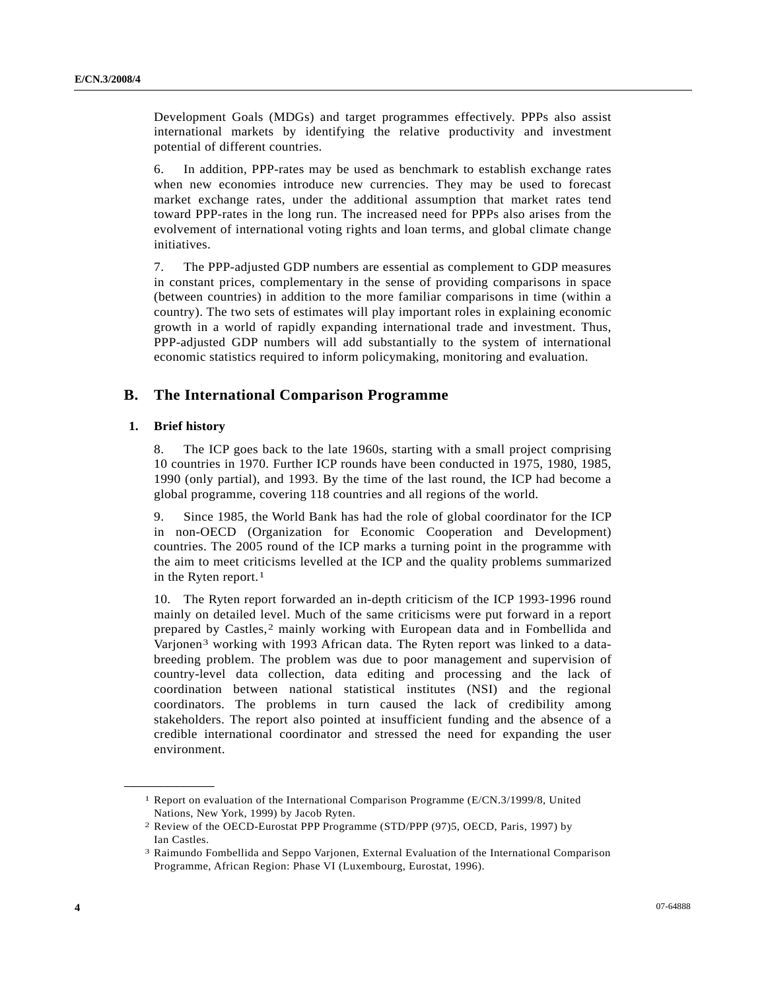Development Goals (MDGs) and target programmes effectively. PPPs also assist international markets by identifying the relative productivity and investment potential of different countries.

6. In addition, PPP-rates may be used as benchmark to establish exchange rates when new economies introduce new currencies. They may be used to forecast market exchange rates, under the additional assumption that market rates tend toward PPP-rates in the long run. The increased need for PPPs also arises from the evolvement of international voting rights and loan terms, and global climate change initiatives.

7. The PPP-adjusted GDP numbers are essential as complement to GDP measures in constant prices, complementary in the sense of providing comparisons in space (between countries) in addition to the more familiar comparisons in time (within a country). The two sets of estimates will play important roles in explaining economic growth in a world of rapidly expanding international trade and investment. Thus, PPP-adjusted GDP numbers will add substantially to the system of international economic statistics required to inform policymaking, monitoring and evaluation.

### **B. The International Comparison Programme**

#### **1. Brief history**

<span id="page-3-2"></span><span id="page-3-1"></span><span id="page-3-0"></span>**\_\_\_\_\_\_\_\_\_\_\_\_\_\_\_\_\_\_** 

8. The ICP goes back to the late 1960s, starting with a small project comprising 10 countries in 1970. Further ICP rounds have been conducted in 1975, 1980, 1985, 1990 (only partial), and 1993. By the time of the last round, the ICP had become a global programme, covering 118 countries and all regions of the world.

9. Since 1985, the World Bank has had the role of global coordinator for the ICP in non-OECD (Organization for Economic Cooperation and Development) countries. The 2005 round of the ICP marks a turning point in the programme with the aim to meet criticisms levelled at the ICP and the quality problems summarized in the Ryten report.<sup>[1](#page-3-0)</sup>

10. The Ryten report forwarded an in-depth criticism of the ICP 1993-1996 round mainly on detailed level. Much of the same criticisms were put forward in a report prepared by Castles,[2](#page-3-1) mainly working with European data and in Fombellida and Varjonen[3](#page-3-2) working with 1993 African data. The Ryten report was linked to a databreeding problem. The problem was due to poor management and supervision of country-level data collection, data editing and processing and the lack of coordination between national statistical institutes (NSI) and the regional coordinators. The problems in turn caused the lack of credibility among stakeholders. The report also pointed at insufficient funding and the absence of a credible international coordinator and stressed the need for expanding the user environment.

<sup>1</sup> Report on evaluation of the International Comparison Programme (E/CN.3/1999/8, United Nations, New York, 1999) by Jacob Ryten.

<sup>2</sup> Review of the OECD-Eurostat PPP Programme (STD/PPP (97)5, OECD, Paris, 1997) by Ian Castles.

<sup>3</sup> Raimundo Fombellida and Seppo Varjonen, External Evaluation of the International Comparison Programme, African Region: Phase VI (Luxembourg, Eurostat, 1996).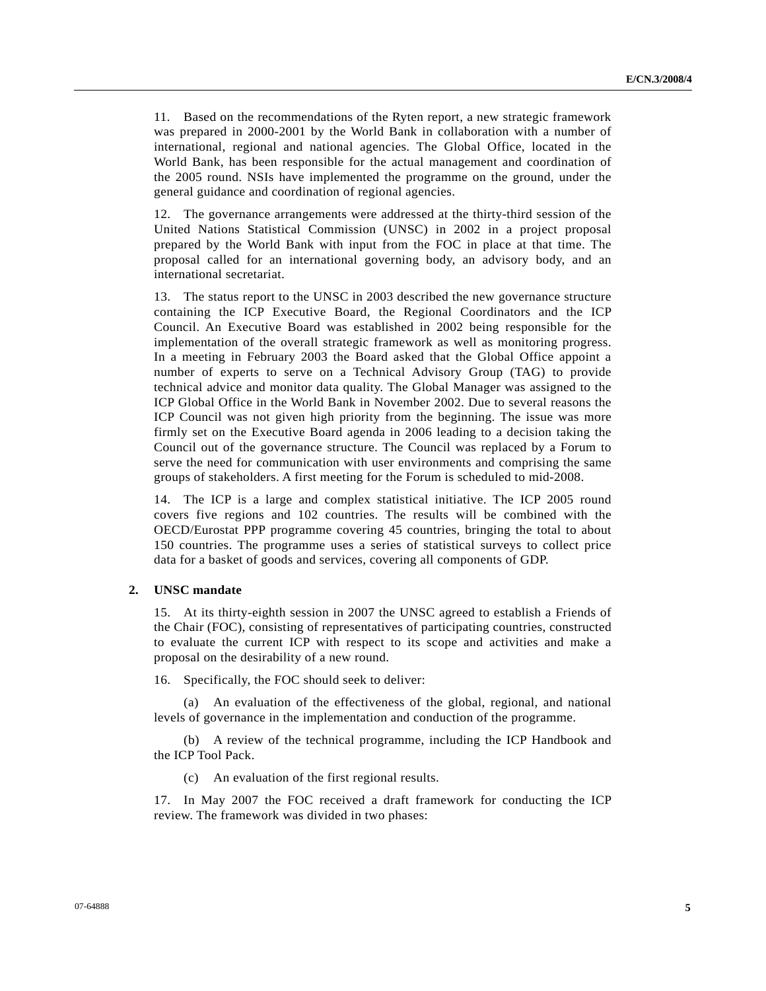11. Based on the recommendations of the Ryten report, a new strategic framework was prepared in 2000-2001 by the World Bank in collaboration with a number of international, regional and national agencies. The Global Office, located in the World Bank, has been responsible for the actual management and coordination of the 2005 round. NSIs have implemented the programme on the ground, under the general guidance and coordination of regional agencies.

12. The governance arrangements were addressed at the thirty-third session of the United Nations Statistical Commission (UNSC) in 2002 in a project proposal prepared by the World Bank with input from the FOC in place at that time. The proposal called for an international governing body, an advisory body, and an international secretariat.

13. The status report to the UNSC in 2003 described the new governance structure containing the ICP Executive Board, the Regional Coordinators and the ICP Council. An Executive Board was established in 2002 being responsible for the implementation of the overall strategic framework as well as monitoring progress. In a meeting in February 2003 the Board asked that the Global Office appoint a number of experts to serve on a Technical Advisory Group (TAG) to provide technical advice and monitor data quality. The Global Manager was assigned to the ICP Global Office in the World Bank in November 2002. Due to several reasons the ICP Council was not given high priority from the beginning. The issue was more firmly set on the Executive Board agenda in 2006 leading to a decision taking the Council out of the governance structure. The Council was replaced by a Forum to serve the need for communication with user environments and comprising the same groups of stakeholders. A first meeting for the Forum is scheduled to mid-2008.

14. The ICP is a large and complex statistical initiative. The ICP 2005 round covers five regions and 102 countries. The results will be combined with the OECD/Eurostat PPP programme covering 45 countries, bringing the total to about 150 countries. The programme uses a series of statistical surveys to collect price data for a basket of goods and services, covering all components of GDP.

#### **2. UNSC mandate**

15. At its thirty-eighth session in 2007 the UNSC agreed to establish a Friends of the Chair (FOC), consisting of representatives of participating countries, constructed to evaluate the current ICP with respect to its scope and activities and make a proposal on the desirability of a new round.

16. Specifically, the FOC should seek to deliver:

 (a) An evaluation of the effectiveness of the global, regional, and national levels of governance in the implementation and conduction of the programme.

 (b) A review of the technical programme, including the ICP Handbook and the ICP Tool Pack.

(c) An evaluation of the first regional results.

17. In May 2007 the FOC received a draft framework for conducting the ICP review. The framework was divided in two phases: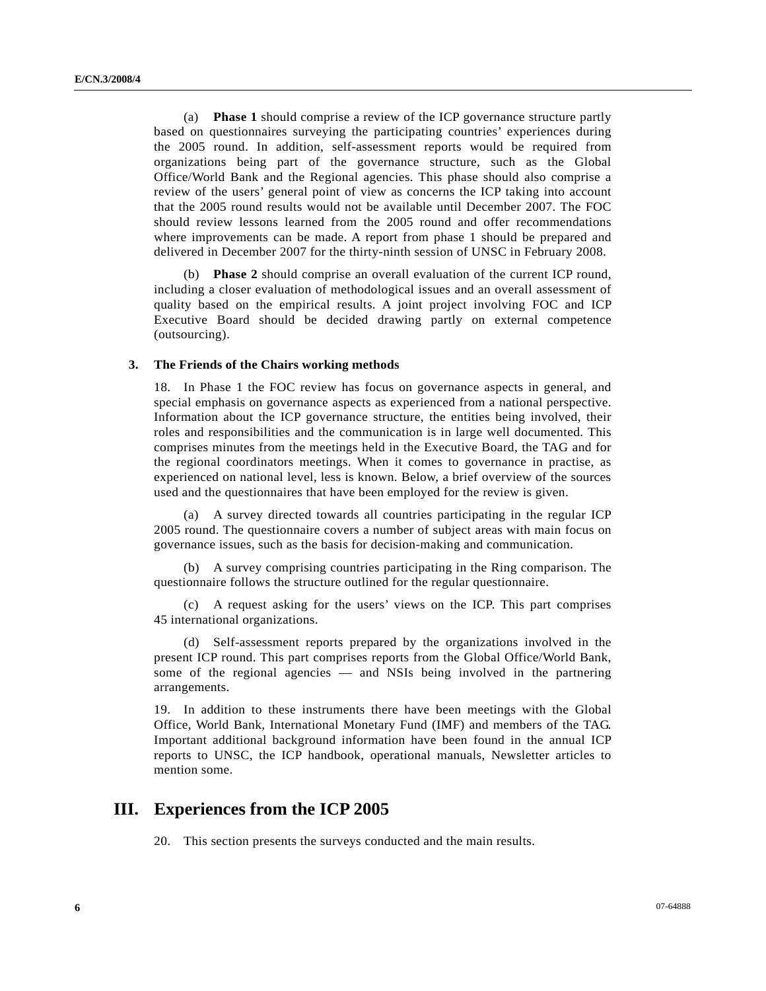(a) **Phase 1** should comprise a review of the ICP governance structure partly based on questionnaires surveying the participating countries' experiences during the 2005 round. In addition, self-assessment reports would be required from organizations being part of the governance structure, such as the Global Office/World Bank and the Regional agencies. This phase should also comprise a review of the users' general point of view as concerns the ICP taking into account that the 2005 round results would not be available until December 2007. The FOC should review lessons learned from the 2005 round and offer recommendations where improvements can be made. A report from phase 1 should be prepared and delivered in December 2007 for the thirty-ninth session of UNSC in February 2008.

 (b) **Phase 2** should comprise an overall evaluation of the current ICP round, including a closer evaluation of methodological issues and an overall assessment of quality based on the empirical results. A joint project involving FOC and ICP Executive Board should be decided drawing partly on external competence (outsourcing).

#### **3. The Friends of the Chairs working methods**

18. In Phase 1 the FOC review has focus on governance aspects in general, and special emphasis on governance aspects as experienced from a national perspective. Information about the ICP governance structure, the entities being involved, their roles and responsibilities and the communication is in large well documented. This comprises minutes from the meetings held in the Executive Board, the TAG and for the regional coordinators meetings. When it comes to governance in practise, as experienced on national level, less is known. Below, a brief overview of the sources used and the questionnaires that have been employed for the review is given.

A survey directed towards all countries participating in the regular ICP 2005 round. The questionnaire covers a number of subject areas with main focus on governance issues, such as the basis for decision-making and communication.

 (b) A survey comprising countries participating in the Ring comparison. The questionnaire follows the structure outlined for the regular questionnaire.

 (c) A request asking for the users' views on the ICP. This part comprises 45 international organizations.

 (d) Self-assessment reports prepared by the organizations involved in the present ICP round. This part comprises reports from the Global Office/World Bank, some of the regional agencies — and NSIs being involved in the partnering arrangements.

19. In addition to these instruments there have been meetings with the Global Office, World Bank, International Monetary Fund (IMF) and members of the TAG. Important additional background information have been found in the annual ICP reports to UNSC, the ICP handbook, operational manuals, Newsletter articles to mention some.

# **III. Experiences from the ICP 2005**

20. This section presents the surveys conducted and the main results.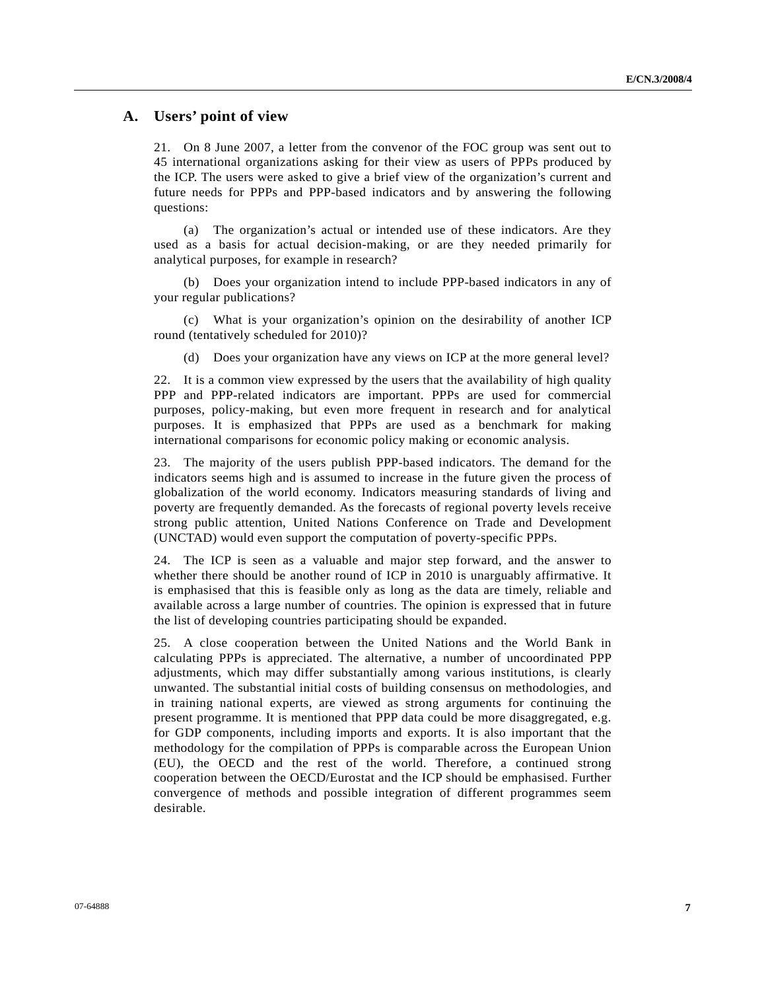# **A. Users' point of view**

21. On 8 June 2007, a letter from the convenor of the FOC group was sent out to 45 international organizations asking for their view as users of PPPs produced by the ICP. The users were asked to give a brief view of the organization's current and future needs for PPPs and PPP-based indicators and by answering the following questions:

 (a) The organization's actual or intended use of these indicators. Are they used as a basis for actual decision-making, or are they needed primarily for analytical purposes, for example in research?

 (b) Does your organization intend to include PPP-based indicators in any of your regular publications?

 (c) What is your organization's opinion on the desirability of another ICP round (tentatively scheduled for 2010)?

(d) Does your organization have any views on ICP at the more general level?

22. It is a common view expressed by the users that the availability of high quality PPP and PPP-related indicators are important. PPPs are used for commercial purposes, policy-making, but even more frequent in research and for analytical purposes. It is emphasized that PPPs are used as a benchmark for making international comparisons for economic policy making or economic analysis.

23. The majority of the users publish PPP-based indicators. The demand for the indicators seems high and is assumed to increase in the future given the process of globalization of the world economy. Indicators measuring standards of living and poverty are frequently demanded. As the forecasts of regional poverty levels receive strong public attention, United Nations Conference on Trade and Development (UNCTAD) would even support the computation of poverty-specific PPPs.

24. The ICP is seen as a valuable and major step forward, and the answer to whether there should be another round of ICP in 2010 is unarguably affirmative. It is emphasised that this is feasible only as long as the data are timely, reliable and available across a large number of countries. The opinion is expressed that in future the list of developing countries participating should be expanded.

25. A close cooperation between the United Nations and the World Bank in calculating PPPs is appreciated. The alternative, a number of uncoordinated PPP adjustments, which may differ substantially among various institutions, is clearly unwanted. The substantial initial costs of building consensus on methodologies, and in training national experts, are viewed as strong arguments for continuing the present programme. It is mentioned that PPP data could be more disaggregated, e.g. for GDP components, including imports and exports. It is also important that the methodology for the compilation of PPPs is comparable across the European Union (EU), the OECD and the rest of the world. Therefore, a continued strong cooperation between the OECD/Eurostat and the ICP should be emphasised. Further convergence of methods and possible integration of different programmes seem desirable.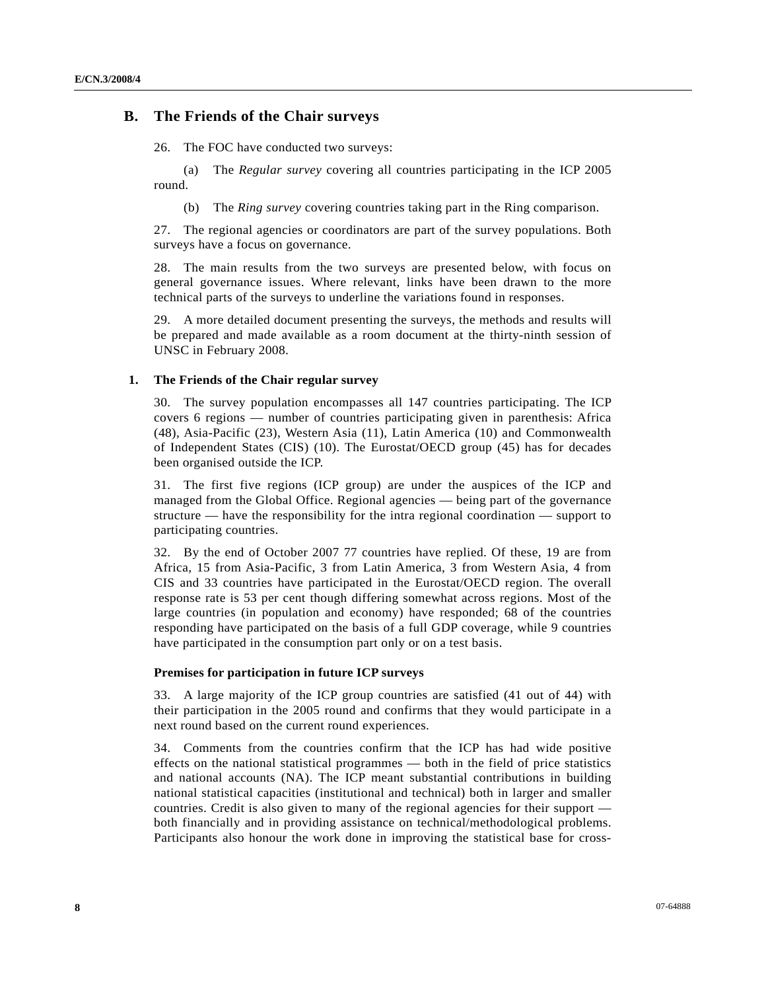### **B. The Friends of the Chair surveys**

26. The FOC have conducted two surveys:

 (a) The *Regular survey* covering all countries participating in the ICP 2005 round.

(b) The *Ring survey* covering countries taking part in the Ring comparison.

27. The regional agencies or coordinators are part of the survey populations. Both surveys have a focus on governance.

28. The main results from the two surveys are presented below, with focus on general governance issues. Where relevant, links have been drawn to the more technical parts of the surveys to underline the variations found in responses.

29. A more detailed document presenting the surveys, the methods and results will be prepared and made available as a room document at the thirty-ninth session of UNSC in February 2008.

#### **1. The Friends of the Chair regular survey**

30. The survey population encompasses all 147 countries participating. The ICP covers 6 regions — number of countries participating given in parenthesis: Africa (48), Asia-Pacific (23), Western Asia (11), Latin America (10) and Commonwealth of Independent States (CIS) (10). The Eurostat/OECD group (45) has for decades been organised outside the ICP.

31. The first five regions (ICP group) are under the auspices of the ICP and managed from the Global Office. Regional agencies — being part of the governance structure — have the responsibility for the intra regional coordination — support to participating countries.

32. By the end of October 2007 77 countries have replied. Of these, 19 are from Africa, 15 from Asia-Pacific, 3 from Latin America, 3 from Western Asia, 4 from CIS and 33 countries have participated in the Eurostat/OECD region. The overall response rate is 53 per cent though differing somewhat across regions. Most of the large countries (in population and economy) have responded; 68 of the countries responding have participated on the basis of a full GDP coverage, while 9 countries have participated in the consumption part only or on a test basis.

#### **Premises for participation in future ICP surveys**

33. A large majority of the ICP group countries are satisfied (41 out of 44) with their participation in the 2005 round and confirms that they would participate in a next round based on the current round experiences.

34. Comments from the countries confirm that the ICP has had wide positive effects on the national statistical programmes — both in the field of price statistics and national accounts (NA). The ICP meant substantial contributions in building national statistical capacities (institutional and technical) both in larger and smaller countries. Credit is also given to many of the regional agencies for their support both financially and in providing assistance on technical/methodological problems. Participants also honour the work done in improving the statistical base for cross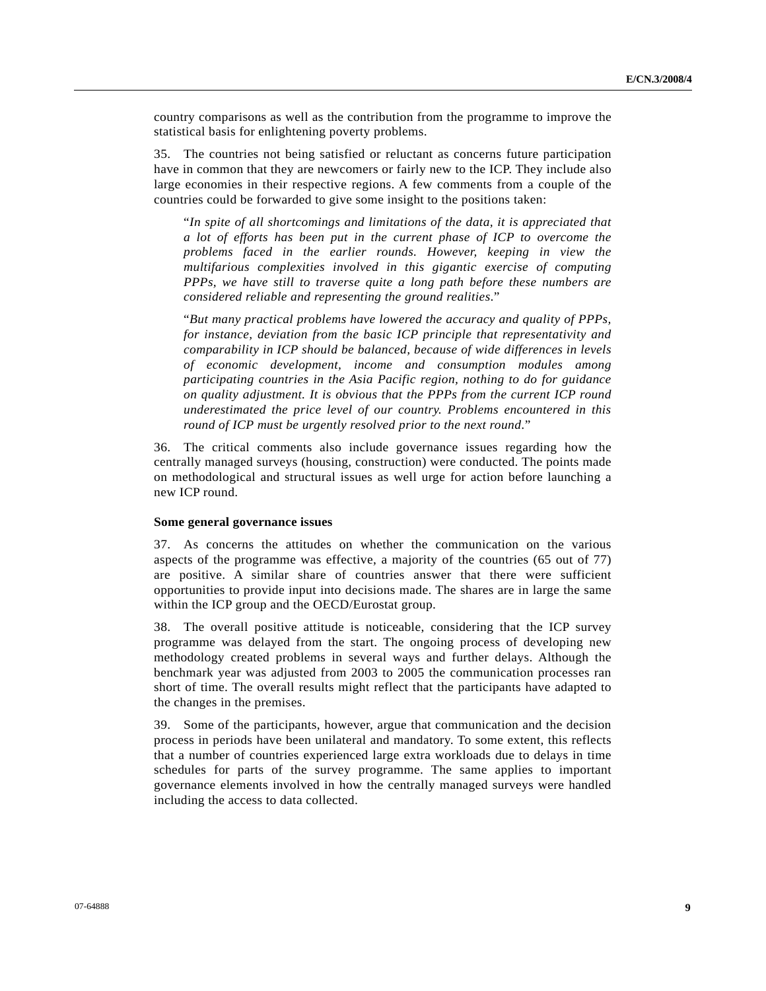country comparisons as well as the contribution from the programme to improve the statistical basis for enlightening poverty problems.

35. The countries not being satisfied or reluctant as concerns future participation have in common that they are newcomers or fairly new to the ICP. They include also large economies in their respective regions. A few comments from a couple of the countries could be forwarded to give some insight to the positions taken:

 "*In spite of all shortcomings and limitations of the data, it is appreciated that a lot of efforts has been put in the current phase of ICP to overcome the problems faced in the earlier rounds. However, keeping in view the multifarious complexities involved in this gigantic exercise of computing PPPs, we have still to traverse quite a long path before these numbers are considered reliable and representing the ground realities*."

 "*But many practical problems have lowered the accuracy and quality of PPPs, for instance, deviation from the basic ICP principle that representativity and comparability in ICP should be balanced, because of wide differences in levels of economic development, income and consumption modules among participating countries in the Asia Pacific region, nothing to do for guidance on quality adjustment. It is obvious that the PPPs from the current ICP round underestimated the price level of our country. Problems encountered in this round of ICP must be urgently resolved prior to the next round*."

36. The critical comments also include governance issues regarding how the centrally managed surveys (housing, construction) were conducted. The points made on methodological and structural issues as well urge for action before launching a new ICP round.

#### **Some general governance issues**

37. As concerns the attitudes on whether the communication on the various aspects of the programme was effective, a majority of the countries (65 out of 77) are positive. A similar share of countries answer that there were sufficient opportunities to provide input into decisions made. The shares are in large the same within the ICP group and the OECD/Eurostat group.

38. The overall positive attitude is noticeable, considering that the ICP survey programme was delayed from the start. The ongoing process of developing new methodology created problems in several ways and further delays. Although the benchmark year was adjusted from 2003 to 2005 the communication processes ran short of time. The overall results might reflect that the participants have adapted to the changes in the premises.

39. Some of the participants, however, argue that communication and the decision process in periods have been unilateral and mandatory. To some extent, this reflects that a number of countries experienced large extra workloads due to delays in time schedules for parts of the survey programme. The same applies to important governance elements involved in how the centrally managed surveys were handled including the access to data collected.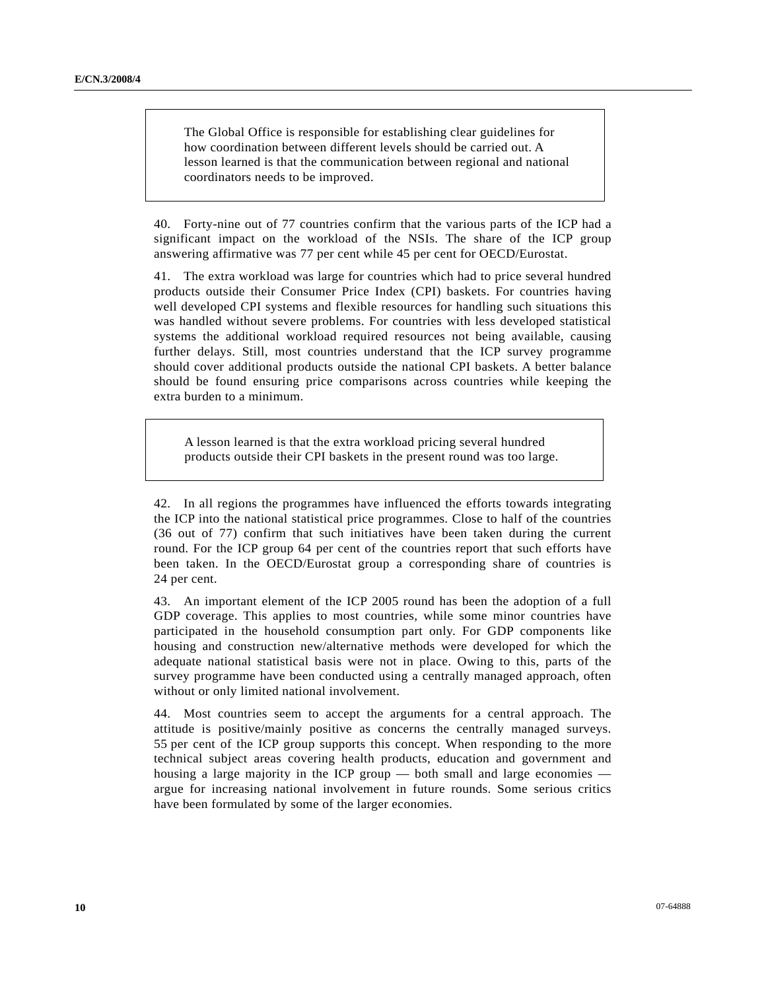The Global Office is responsible for establishing clear guidelines for how coordination between different levels should be carried out. A lesson learned is that the communication between regional and national coordinators needs to be improved.

40. Forty-nine out of 77 countries confirm that the various parts of the ICP had a significant impact on the workload of the NSIs. The share of the ICP group answering affirmative was 77 per cent while 45 per cent for OECD/Eurostat.

41. The extra workload was large for countries which had to price several hundred products outside their Consumer Price Index (CPI) baskets. For countries having well developed CPI systems and flexible resources for handling such situations this was handled without severe problems. For countries with less developed statistical systems the additional workload required resources not being available, causing further delays. Still, most countries understand that the ICP survey programme should cover additional products outside the national CPI baskets. A better balance should be found ensuring price comparisons across countries while keeping the extra burden to a minimum.

A lesson learned is that the extra workload pricing several hundred products outside their CPI baskets in the present round was too large.

42. In all regions the programmes have influenced the efforts towards integrating the ICP into the national statistical price programmes. Close to half of the countries (36 out of 77) confirm that such initiatives have been taken during the current round. For the ICP group 64 per cent of the countries report that such efforts have been taken. In the OECD/Eurostat group a corresponding share of countries is 24 per cent.

43. An important element of the ICP 2005 round has been the adoption of a full GDP coverage. This applies to most countries, while some minor countries have participated in the household consumption part only. For GDP components like housing and construction new/alternative methods were developed for which the adequate national statistical basis were not in place. Owing to this, parts of the survey programme have been conducted using a centrally managed approach, often without or only limited national involvement.

44. Most countries seem to accept the arguments for a central approach. The attitude is positive/mainly positive as concerns the centrally managed surveys. 55 per cent of the ICP group supports this concept. When responding to the more technical subject areas covering health products, education and government and housing a large majority in the ICP group — both small and large economies argue for increasing national involvement in future rounds. Some serious critics have been formulated by some of the larger economies.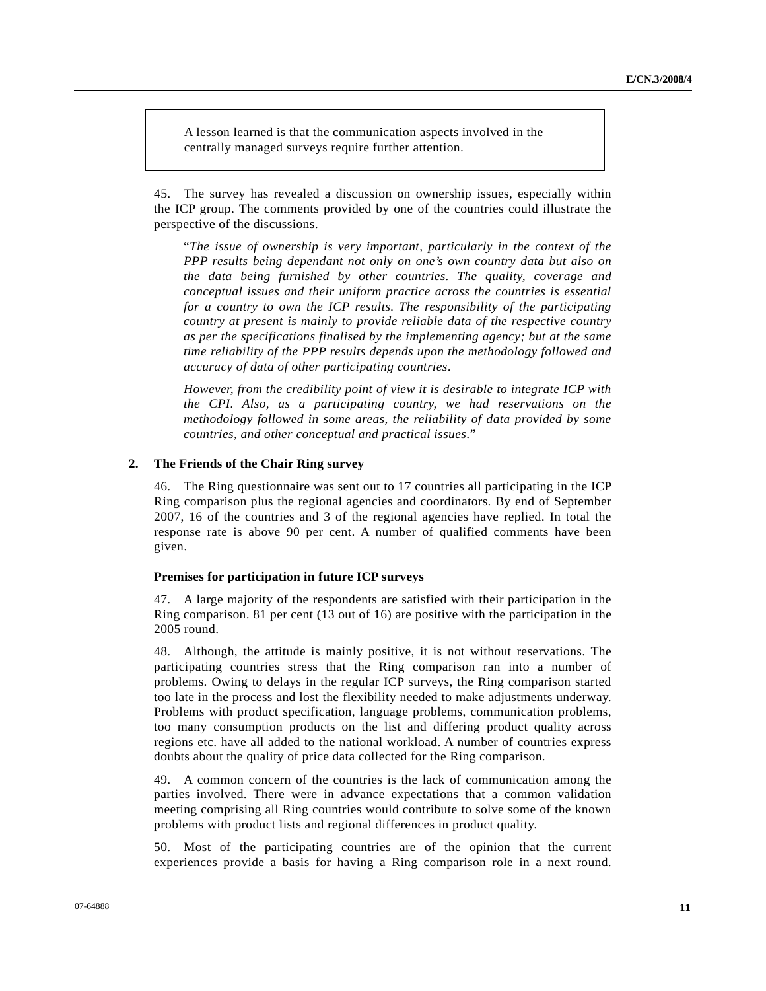A lesson learned is that the communication aspects involved in the centrally managed surveys require further attention.

45. The survey has revealed a discussion on ownership issues, especially within the ICP group. The comments provided by one of the countries could illustrate the perspective of the discussions.

 "*The issue of ownership is very important, particularly in the context of the PPP results being dependant not only on one's own country data but also on the data being furnished by other countries. The quality, coverage and conceptual issues and their uniform practice across the countries is essential for a country to own the ICP results. The responsibility of the participating country at present is mainly to provide reliable data of the respective country as per the specifications finalised by the implementing agency; but at the same time reliability of the PPP results depends upon the methodology followed and accuracy of data of other participating countries*.

*However, from the credibility point of view it is desirable to integrate ICP with the CPI. Also, as a participating country, we had reservations on the methodology followed in some areas, the reliability of data provided by some countries, and other conceptual and practical issues*."

#### **2. The Friends of the Chair Ring survey**

46. The Ring questionnaire was sent out to 17 countries all participating in the ICP Ring comparison plus the regional agencies and coordinators. By end of September 2007, 16 of the countries and 3 of the regional agencies have replied. In total the response rate is above 90 per cent. A number of qualified comments have been given.

#### **Premises for participation in future ICP surveys**

47. A large majority of the respondents are satisfied with their participation in the Ring comparison. 81 per cent (13 out of 16) are positive with the participation in the 2005 round.

48. Although, the attitude is mainly positive, it is not without reservations. The participating countries stress that the Ring comparison ran into a number of problems. Owing to delays in the regular ICP surveys, the Ring comparison started too late in the process and lost the flexibility needed to make adjustments underway. Problems with product specification, language problems, communication problems, too many consumption products on the list and differing product quality across regions etc. have all added to the national workload. A number of countries express doubts about the quality of price data collected for the Ring comparison.

49. A common concern of the countries is the lack of communication among the parties involved. There were in advance expectations that a common validation meeting comprising all Ring countries would contribute to solve some of the known problems with product lists and regional differences in product quality.

50. Most of the participating countries are of the opinion that the current experiences provide a basis for having a Ring comparison role in a next round.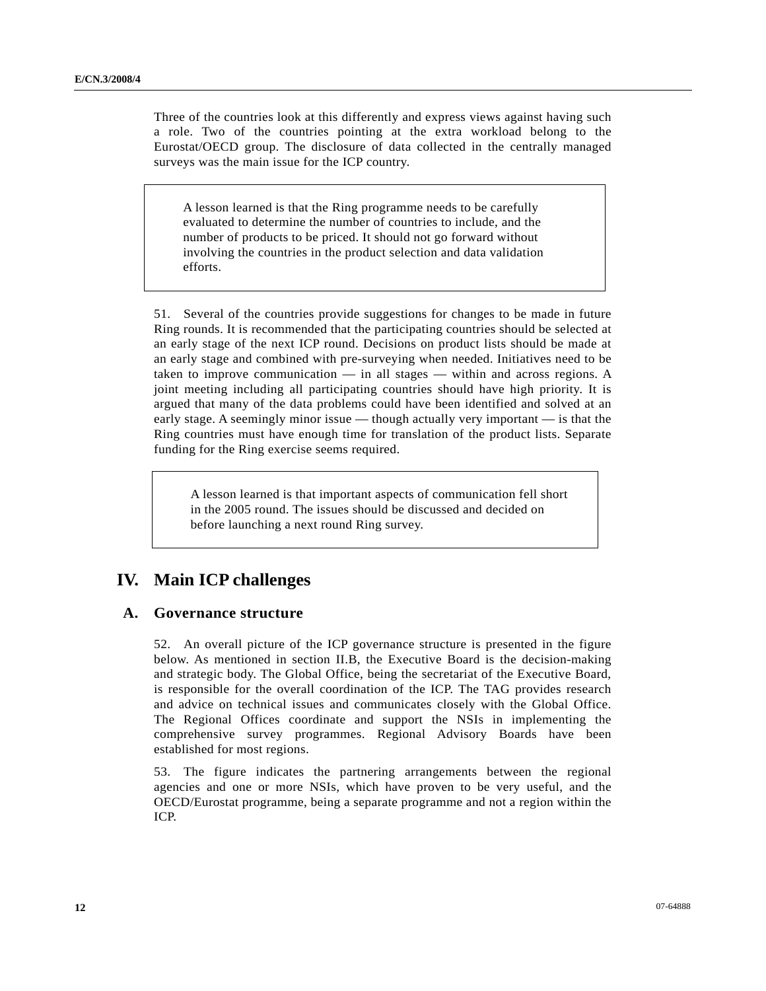Three of the countries look at this differently and express views against having such a role. Two of the countries pointing at the extra workload belong to the Eurostat/OECD group. The disclosure of data collected in the centrally managed surveys was the main issue for the ICP country.

A lesson learned is that the Ring programme needs to be carefully evaluated to determine the number of countries to include, and the number of products to be priced. It should not go forward without involving the countries in the product selection and data validation efforts.

51. Several of the countries provide suggestions for changes to be made in future Ring rounds. It is recommended that the participating countries should be selected at an early stage of the next ICP round. Decisions on product lists should be made at an early stage and combined with pre-surveying when needed. Initiatives need to be taken to improve communication — in all stages — within and across regions. A joint meeting including all participating countries should have high priority. It is argued that many of the data problems could have been identified and solved at an early stage. A seemingly minor issue — though actually very important — is that the Ring countries must have enough time for translation of the product lists. Separate funding for the Ring exercise seems required.

A lesson learned is that important aspects of communication fell short in the 2005 round. The issues should be discussed and decided on before launching a next round Ring survey.

# **IV. Main ICP challenges**

# **A. Governance structure**

52. An overall picture of the ICP governance structure is presented in the figure below. As mentioned in section II.B, the Executive Board is the decision-making and strategic body. The Global Office, being the secretariat of the Executive Board, is responsible for the overall coordination of the ICP. The TAG provides research and advice on technical issues and communicates closely with the Global Office. The Regional Offices coordinate and support the NSIs in implementing the comprehensive survey programmes. Regional Advisory Boards have been established for most regions.

53. The figure indicates the partnering arrangements between the regional agencies and one or more NSIs, which have proven to be very useful, and the OECD/Eurostat programme, being a separate programme and not a region within the ICP.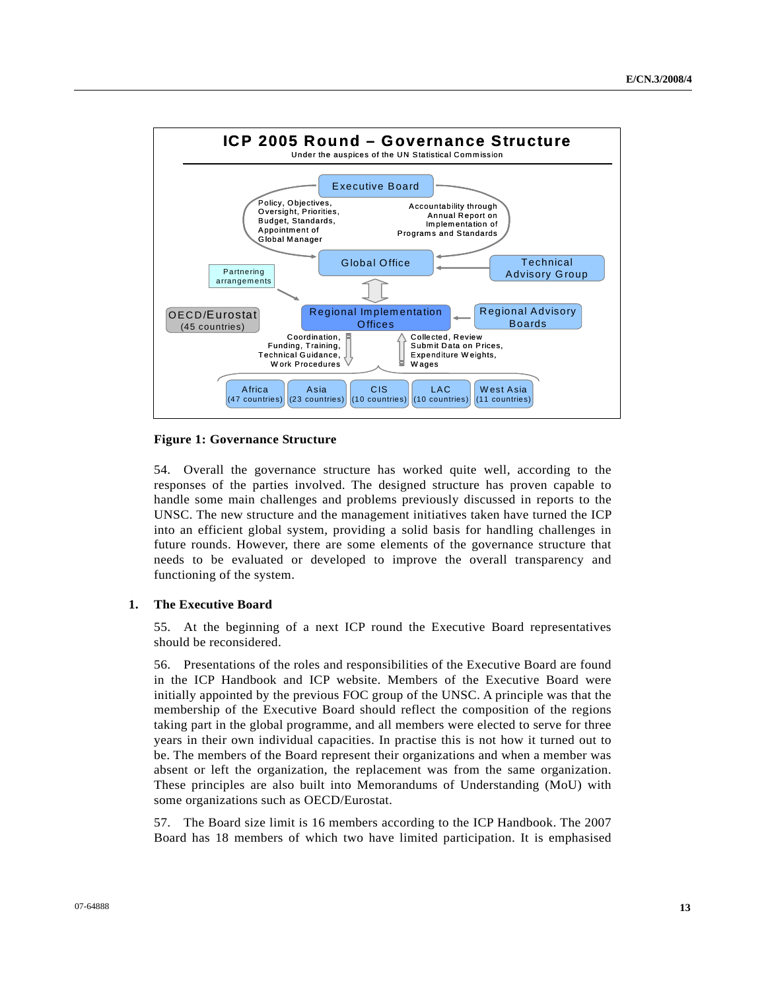

#### **Figure 1: Governance Structure**

54. Overall the governance structure has worked quite well, according to the responses of the parties involved. The designed structure has proven capable to handle some main challenges and problems previously discussed in reports to the UNSC. The new structure and the management initiatives taken have turned the ICP into an efficient global system, providing a solid basis for handling challenges in future rounds. However, there are some elements of the governance structure that needs to be evaluated or developed to improve the overall transparency and functioning of the system.

#### **1. The Executive Board**

55. At the beginning of a next ICP round the Executive Board representatives should be reconsidered.

56. Presentations of the roles and responsibilities of the Executive Board are found in the ICP Handbook and ICP website. Members of the Executive Board were initially appointed by the previous FOC group of the UNSC. A principle was that the membership of the Executive Board should reflect the composition of the regions taking part in the global programme, and all members were elected to serve for three years in their own individual capacities. In practise this is not how it turned out to be. The members of the Board represent their organizations and when a member was absent or left the organization, the replacement was from the same organization. These principles are also built into Memorandums of Understanding (MoU) with some organizations such as OECD/Eurostat.

57. The Board size limit is 16 members according to the ICP Handbook. The 2007 Board has 18 members of which two have limited participation. It is emphasised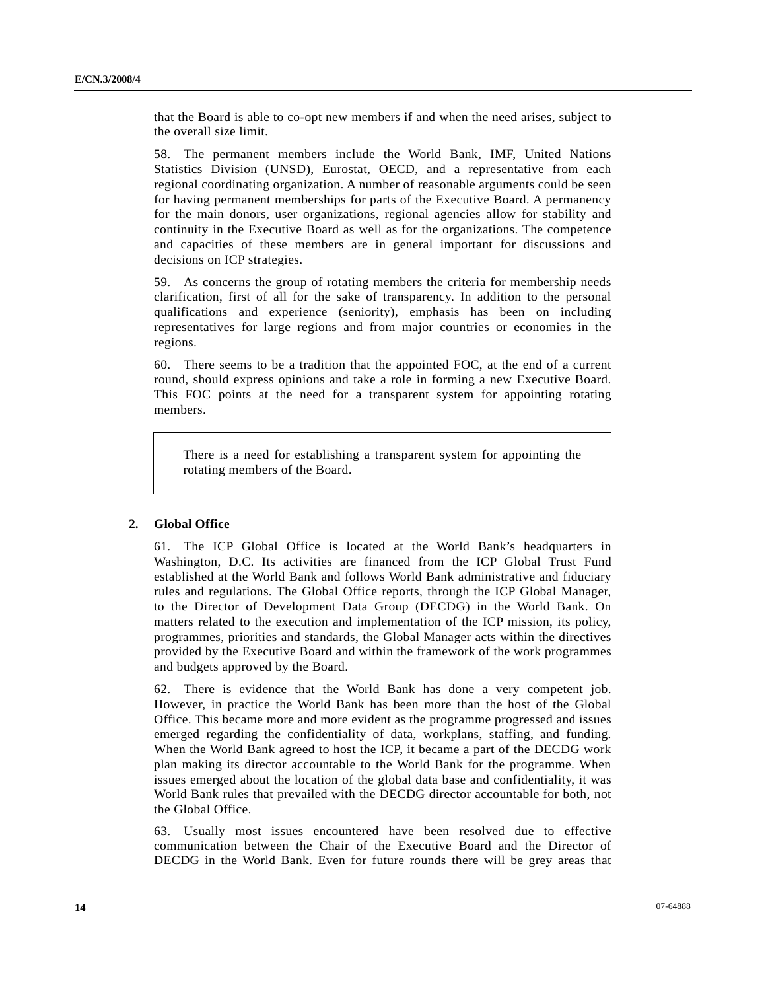that the Board is able to co-opt new members if and when the need arises, subject to the overall size limit.

58. The permanent members include the World Bank, IMF, United Nations Statistics Division (UNSD), Eurostat, OECD, and a representative from each regional coordinating organization. A number of reasonable arguments could be seen for having permanent memberships for parts of the Executive Board. A permanency for the main donors, user organizations, regional agencies allow for stability and continuity in the Executive Board as well as for the organizations. The competence and capacities of these members are in general important for discussions and decisions on ICP strategies.

59. As concerns the group of rotating members the criteria for membership needs clarification, first of all for the sake of transparency. In addition to the personal qualifications and experience (seniority), emphasis has been on including representatives for large regions and from major countries or economies in the regions.

60. There seems to be a tradition that the appointed FOC, at the end of a current round, should express opinions and take a role in forming a new Executive Board. This FOC points at the need for a transparent system for appointing rotating members.

There is a need for establishing a transparent system for appointing the rotating members of the Board.

#### **2. Global Office**

61. The ICP Global Office is located at the World Bank's headquarters in Washington, D.C. Its activities are financed from the ICP Global Trust Fund established at the World Bank and follows World Bank administrative and fiduciary rules and regulations. The Global Office reports, through the ICP Global Manager, to the Director of Development Data Group (DECDG) in the World Bank. On matters related to the execution and implementation of the ICP mission, its policy, programmes, priorities and standards, the Global Manager acts within the directives provided by the Executive Board and within the framework of the work programmes and budgets approved by the Board.

62. There is evidence that the World Bank has done a very competent job. However, in practice the World Bank has been more than the host of the Global Office. This became more and more evident as the programme progressed and issues emerged regarding the confidentiality of data, workplans, staffing, and funding. When the World Bank agreed to host the ICP, it became a part of the DECDG work plan making its director accountable to the World Bank for the programme. When issues emerged about the location of the global data base and confidentiality, it was World Bank rules that prevailed with the DECDG director accountable for both, not the Global Office.

63. Usually most issues encountered have been resolved due to effective communication between the Chair of the Executive Board and the Director of DECDG in the World Bank. Even for future rounds there will be grey areas that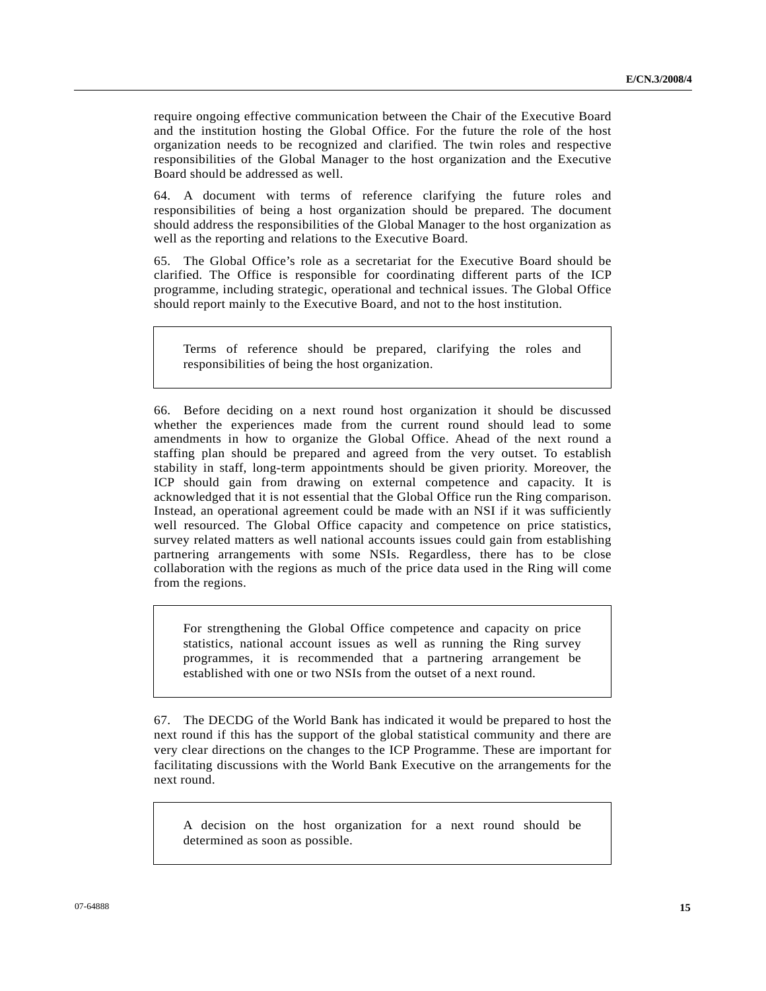require ongoing effective communication between the Chair of the Executive Board and the institution hosting the Global Office. For the future the role of the host organization needs to be recognized and clarified. The twin roles and respective responsibilities of the Global Manager to the host organization and the Executive Board should be addressed as well.

64. A document with terms of reference clarifying the future roles and responsibilities of being a host organization should be prepared. The document should address the responsibilities of the Global Manager to the host organization as well as the reporting and relations to the Executive Board.

65. The Global Office's role as a secretariat for the Executive Board should be clarified. The Office is responsible for coordinating different parts of the ICP programme, including strategic, operational and technical issues. The Global Office should report mainly to the Executive Board, and not to the host institution.

Terms of reference should be prepared, clarifying the roles and responsibilities of being the host organization.

66. Before deciding on a next round host organization it should be discussed whether the experiences made from the current round should lead to some amendments in how to organize the Global Office. Ahead of the next round a staffing plan should be prepared and agreed from the very outset. To establish stability in staff, long-term appointments should be given priority. Moreover, the ICP should gain from drawing on external competence and capacity. It is acknowledged that it is not essential that the Global Office run the Ring comparison. Instead, an operational agreement could be made with an NSI if it was sufficiently well resourced. The Global Office capacity and competence on price statistics, survey related matters as well national accounts issues could gain from establishing partnering arrangements with some NSIs. Regardless, there has to be close collaboration with the regions as much of the price data used in the Ring will come from the regions.

For strengthening the Global Office competence and capacity on price statistics, national account issues as well as running the Ring survey programmes, it is recommended that a partnering arrangement be established with one or two NSIs from the outset of a next round.

67. The DECDG of the World Bank has indicated it would be prepared to host the next round if this has the support of the global statistical community and there are very clear directions on the changes to the ICP Programme. These are important for facilitating discussions with the World Bank Executive on the arrangements for the next round.

A decision on the host organization for a next round should be determined as soon as possible.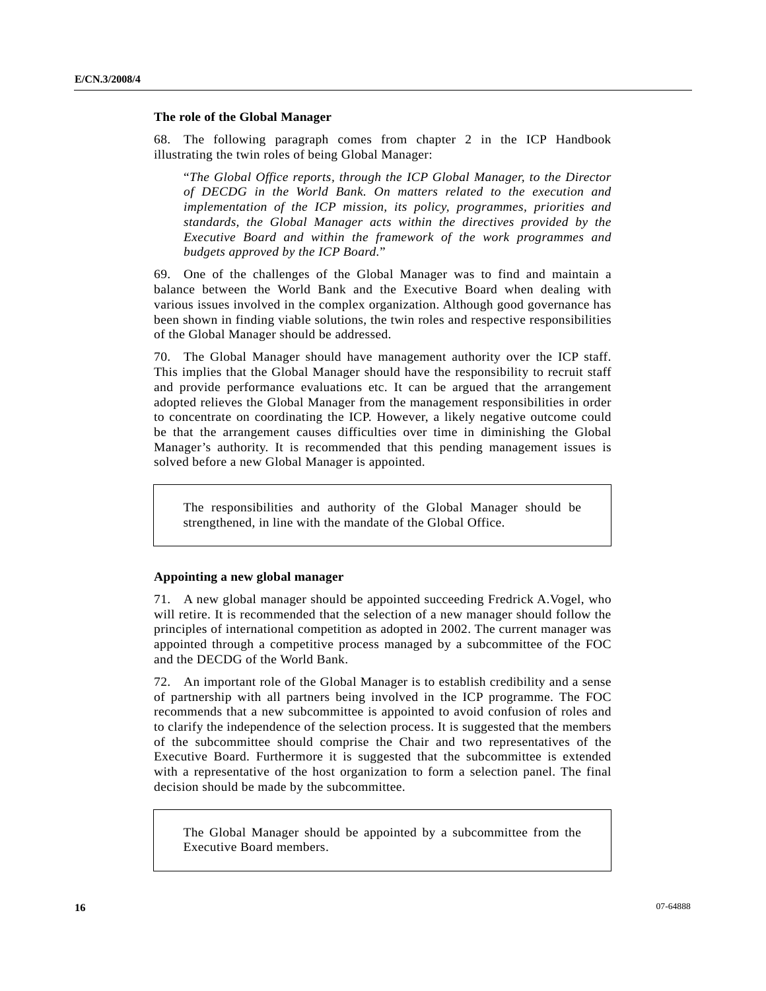#### **The role of the Global Manager**

68. The following paragraph comes from chapter 2 in the ICP Handbook illustrating the twin roles of being Global Manager:

"*The Global Office reports, through the ICP Global Manager, to the Director of DECDG in the World Bank. On matters related to the execution and implementation of the ICP mission, its policy, programmes, priorities and standards, the Global Manager acts within the directives provided by the Executive Board and within the framework of the work programmes and budgets approved by the ICP Board.*"

69. One of the challenges of the Global Manager was to find and maintain a balance between the World Bank and the Executive Board when dealing with various issues involved in the complex organization. Although good governance has been shown in finding viable solutions, the twin roles and respective responsibilities of the Global Manager should be addressed.

70. The Global Manager should have management authority over the ICP staff. This implies that the Global Manager should have the responsibility to recruit staff and provide performance evaluations etc. It can be argued that the arrangement adopted relieves the Global Manager from the management responsibilities in order to concentrate on coordinating the ICP. However, a likely negative outcome could be that the arrangement causes difficulties over time in diminishing the Global Manager's authority. It is recommended that this pending management issues is solved before a new Global Manager is appointed.

The responsibilities and authority of the Global Manager should be strengthened, in line with the mandate of the Global Office.

#### **Appointing a new global manager**

71. A new global manager should be appointed succeeding Fredrick A.Vogel, who will retire. It is recommended that the selection of a new manager should follow the principles of international competition as adopted in 2002. The current manager was appointed through a competitive process managed by a subcommittee of the FOC and the DECDG of the World Bank.

72. An important role of the Global Manager is to establish credibility and a sense of partnership with all partners being involved in the ICP programme. The FOC recommends that a new subcommittee is appointed to avoid confusion of roles and to clarify the independence of the selection process. It is suggested that the members of the subcommittee should comprise the Chair and two representatives of the Executive Board. Furthermore it is suggested that the subcommittee is extended with a representative of the host organization to form a selection panel. The final decision should be made by the subcommittee.

The Global Manager should be appointed by a subcommittee from the Executive Board members.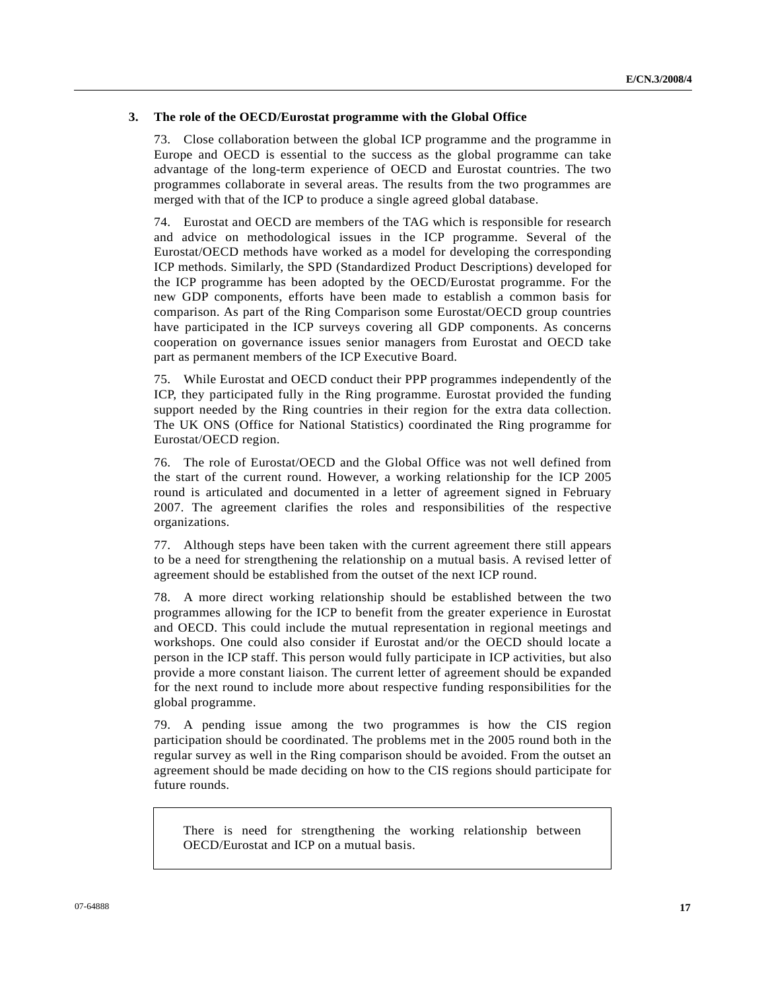### **3. The role of the OECD/Eurostat programme with the Global Office**

73. Close collaboration between the global ICP programme and the programme in Europe and OECD is essential to the success as the global programme can take advantage of the long-term experience of OECD and Eurostat countries. The two programmes collaborate in several areas. The results from the two programmes are merged with that of the ICP to produce a single agreed global database.

74. Eurostat and OECD are members of the TAG which is responsible for research and advice on methodological issues in the ICP programme. Several of the Eurostat/OECD methods have worked as a model for developing the corresponding ICP methods. Similarly, the SPD (Standardized Product Descriptions) developed for the ICP programme has been adopted by the OECD/Eurostat programme. For the new GDP components, efforts have been made to establish a common basis for comparison. As part of the Ring Comparison some Eurostat/OECD group countries have participated in the ICP surveys covering all GDP components. As concerns cooperation on governance issues senior managers from Eurostat and OECD take part as permanent members of the ICP Executive Board.

75. While Eurostat and OECD conduct their PPP programmes independently of the ICP, they participated fully in the Ring programme. Eurostat provided the funding support needed by the Ring countries in their region for the extra data collection. The UK ONS (Office for National Statistics) coordinated the Ring programme for Eurostat/OECD region.

76. The role of Eurostat/OECD and the Global Office was not well defined from the start of the current round. However, a working relationship for the ICP 2005 round is articulated and documented in a letter of agreement signed in February 2007. The agreement clarifies the roles and responsibilities of the respective organizations.

77. Although steps have been taken with the current agreement there still appears to be a need for strengthening the relationship on a mutual basis. A revised letter of agreement should be established from the outset of the next ICP round.

78. A more direct working relationship should be established between the two programmes allowing for the ICP to benefit from the greater experience in Eurostat and OECD. This could include the mutual representation in regional meetings and workshops. One could also consider if Eurostat and/or the OECD should locate a person in the ICP staff. This person would fully participate in ICP activities, but also provide a more constant liaison. The current letter of agreement should be expanded for the next round to include more about respective funding responsibilities for the global programme.

79. A pending issue among the two programmes is how the CIS region participation should be coordinated. The problems met in the 2005 round both in the regular survey as well in the Ring comparison should be avoided. From the outset an agreement should be made deciding on how to the CIS regions should participate for future rounds.

There is need for strengthening the working relationship between OECD/Eurostat and ICP on a mutual basis.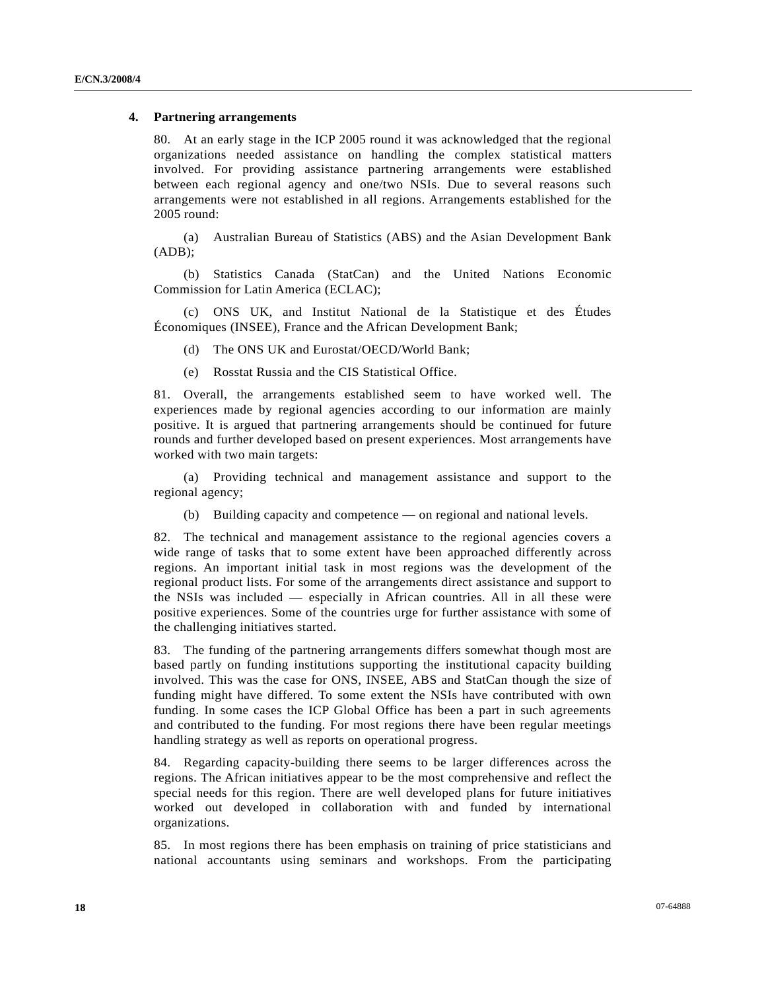#### **4. Partnering arrangements**

80. At an early stage in the ICP 2005 round it was acknowledged that the regional organizations needed assistance on handling the complex statistical matters involved. For providing assistance partnering arrangements were established between each regional agency and one/two NSIs. Due to several reasons such arrangements were not established in all regions. Arrangements established for the 2005 round:

 (a) Australian Bureau of Statistics (ABS) and the Asian Development Bank (ADB);

 (b) Statistics Canada (StatCan) and the United Nations Economic Commission for Latin America (ECLAC);

 (c) ONS UK, and Institut National de la Statistique et des Études Économiques (INSEE), France and the African Development Bank;

(d) The ONS UK and Eurostat/OECD/World Bank;

(e) Rosstat Russia and the CIS Statistical Office.

81. Overall, the arrangements established seem to have worked well. The experiences made by regional agencies according to our information are mainly positive. It is argued that partnering arrangements should be continued for future rounds and further developed based on present experiences. Most arrangements have worked with two main targets:

 (a) Providing technical and management assistance and support to the regional agency;

(b) Building capacity and competence — on regional and national levels.

82. The technical and management assistance to the regional agencies covers a wide range of tasks that to some extent have been approached differently across regions. An important initial task in most regions was the development of the regional product lists. For some of the arrangements direct assistance and support to the NSIs was included — especially in African countries. All in all these were positive experiences. Some of the countries urge for further assistance with some of the challenging initiatives started.

83. The funding of the partnering arrangements differs somewhat though most are based partly on funding institutions supporting the institutional capacity building involved. This was the case for ONS, INSEE, ABS and StatCan though the size of funding might have differed. To some extent the NSIs have contributed with own funding. In some cases the ICP Global Office has been a part in such agreements and contributed to the funding. For most regions there have been regular meetings handling strategy as well as reports on operational progress.

84. Regarding capacity-building there seems to be larger differences across the regions. The African initiatives appear to be the most comprehensive and reflect the special needs for this region. There are well developed plans for future initiatives worked out developed in collaboration with and funded by international organizations.

85. In most regions there has been emphasis on training of price statisticians and national accountants using seminars and workshops. From the participating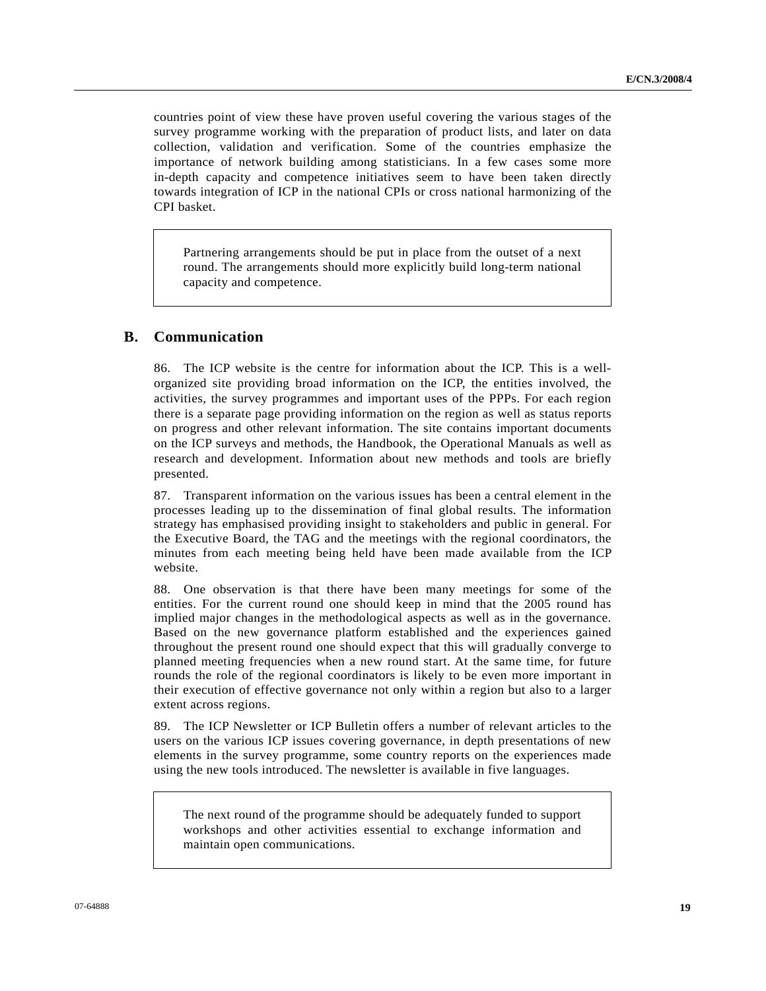countries point of view these have proven useful covering the various stages of the survey programme working with the preparation of product lists, and later on data collection, validation and verification. Some of the countries emphasize the importance of network building among statisticians. In a few cases some more in-depth capacity and competence initiatives seem to have been taken directly towards integration of ICP in the national CPIs or cross national harmonizing of the CPI basket.

Partnering arrangements should be put in place from the outset of a next round. The arrangements should more explicitly build long-term national capacity and competence.

# **B. Communication**

86. The ICP website is the centre for information about the ICP. This is a wellorganized site providing broad information on the ICP, the entities involved, the activities, the survey programmes and important uses of the PPPs. For each region there is a separate page providing information on the region as well as status reports on progress and other relevant information. The site contains important documents on the ICP surveys and methods, the Handbook, the Operational Manuals as well as research and development. Information about new methods and tools are briefly presented.

87. Transparent information on the various issues has been a central element in the processes leading up to the dissemination of final global results. The information strategy has emphasised providing insight to stakeholders and public in general. For the Executive Board, the TAG and the meetings with the regional coordinators, the minutes from each meeting being held have been made available from the ICP website.

88. One observation is that there have been many meetings for some of the entities. For the current round one should keep in mind that the 2005 round has implied major changes in the methodological aspects as well as in the governance. Based on the new governance platform established and the experiences gained throughout the present round one should expect that this will gradually converge to planned meeting frequencies when a new round start. At the same time, for future rounds the role of the regional coordinators is likely to be even more important in their execution of effective governance not only within a region but also to a larger extent across regions.

89. The ICP Newsletter or ICP Bulletin offers a number of relevant articles to the users on the various ICP issues covering governance, in depth presentations of new elements in the survey programme, some country reports on the experiences made using the new tools introduced. The newsletter is available in five languages.

The next round of the programme should be adequately funded to support workshops and other activities essential to exchange information and maintain open communications.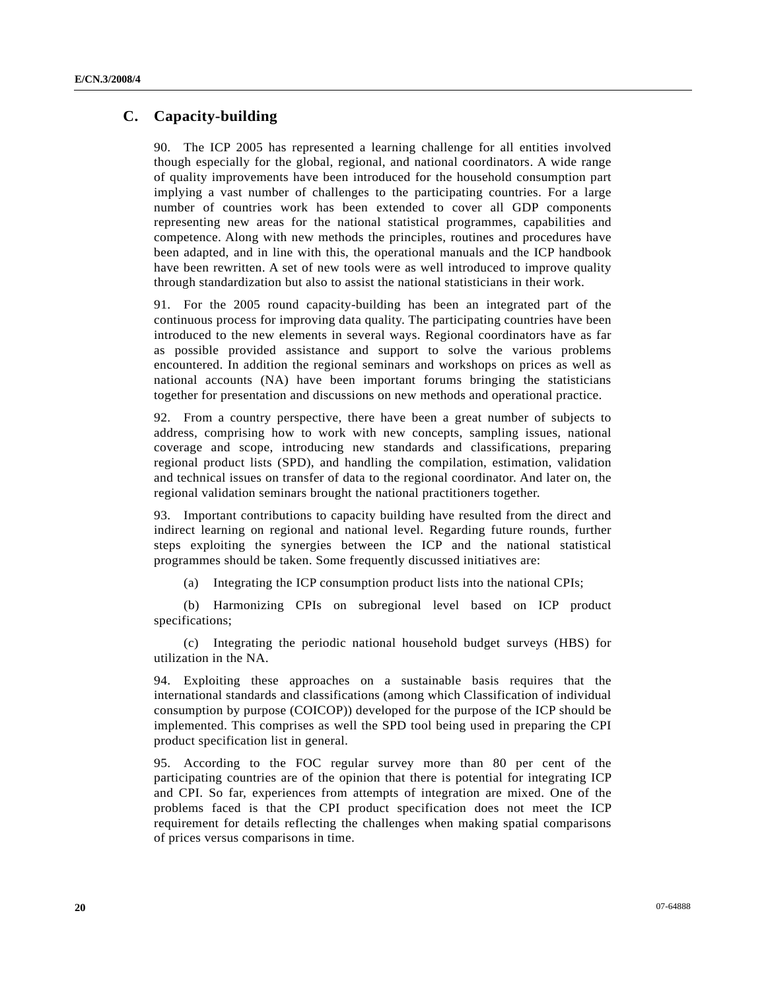### **C. Capacity-building**

90. The ICP 2005 has represented a learning challenge for all entities involved though especially for the global, regional, and national coordinators. A wide range of quality improvements have been introduced for the household consumption part implying a vast number of challenges to the participating countries. For a large number of countries work has been extended to cover all GDP components representing new areas for the national statistical programmes, capabilities and competence. Along with new methods the principles, routines and procedures have been adapted, and in line with this, the operational manuals and the ICP handbook have been rewritten. A set of new tools were as well introduced to improve quality through standardization but also to assist the national statisticians in their work.

91. For the 2005 round capacity-building has been an integrated part of the continuous process for improving data quality. The participating countries have been introduced to the new elements in several ways. Regional coordinators have as far as possible provided assistance and support to solve the various problems encountered. In addition the regional seminars and workshops on prices as well as national accounts (NA) have been important forums bringing the statisticians together for presentation and discussions on new methods and operational practice.

92. From a country perspective, there have been a great number of subjects to address, comprising how to work with new concepts, sampling issues, national coverage and scope, introducing new standards and classifications, preparing regional product lists (SPD), and handling the compilation, estimation, validation and technical issues on transfer of data to the regional coordinator. And later on, the regional validation seminars brought the national practitioners together.

93. Important contributions to capacity building have resulted from the direct and indirect learning on regional and national level. Regarding future rounds, further steps exploiting the synergies between the ICP and the national statistical programmes should be taken. Some frequently discussed initiatives are:

(a) Integrating the ICP consumption product lists into the national CPIs;

 (b) Harmonizing CPIs on subregional level based on ICP product specifications;

 (c) Integrating the periodic national household budget surveys (HBS) for utilization in the NA.

94. Exploiting these approaches on a sustainable basis requires that the international standards and classifications (among which Classification of individual consumption by purpose (COICOP)) developed for the purpose of the ICP should be implemented. This comprises as well the SPD tool being used in preparing the CPI product specification list in general.

95. According to the FOC regular survey more than 80 per cent of the participating countries are of the opinion that there is potential for integrating ICP and CPI. So far, experiences from attempts of integration are mixed. One of the problems faced is that the CPI product specification does not meet the ICP requirement for details reflecting the challenges when making spatial comparisons of prices versus comparisons in time.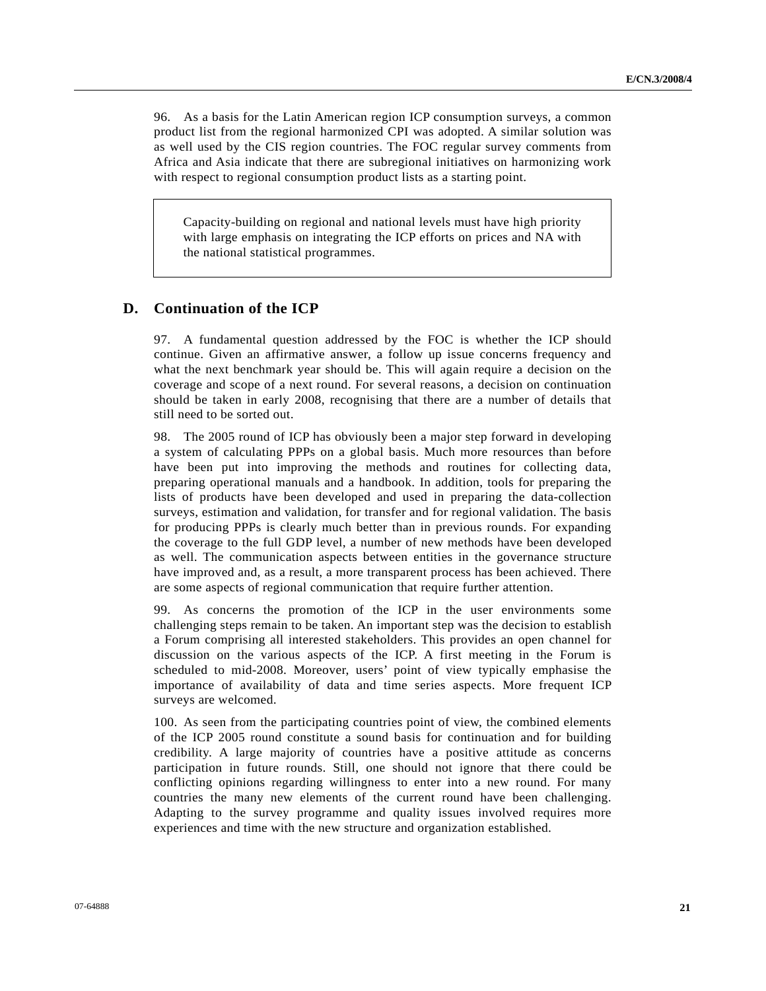96. As a basis for the Latin American region ICP consumption surveys, a common product list from the regional harmonized CPI was adopted. A similar solution was as well used by the CIS region countries. The FOC regular survey comments from Africa and Asia indicate that there are subregional initiatives on harmonizing work with respect to regional consumption product lists as a starting point.

Capacity-building on regional and national levels must have high priority with large emphasis on integrating the ICP efforts on prices and NA with the national statistical programmes.

### **D. Continuation of the ICP**

97. A fundamental question addressed by the FOC is whether the ICP should continue. Given an affirmative answer, a follow up issue concerns frequency and what the next benchmark year should be. This will again require a decision on the coverage and scope of a next round. For several reasons, a decision on continuation should be taken in early 2008, recognising that there are a number of details that still need to be sorted out.

98. The 2005 round of ICP has obviously been a major step forward in developing a system of calculating PPPs on a global basis. Much more resources than before have been put into improving the methods and routines for collecting data, preparing operational manuals and a handbook. In addition, tools for preparing the lists of products have been developed and used in preparing the data-collection surveys, estimation and validation, for transfer and for regional validation. The basis for producing PPPs is clearly much better than in previous rounds. For expanding the coverage to the full GDP level, a number of new methods have been developed as well. The communication aspects between entities in the governance structure have improved and, as a result, a more transparent process has been achieved. There are some aspects of regional communication that require further attention.

99. As concerns the promotion of the ICP in the user environments some challenging steps remain to be taken. An important step was the decision to establish a Forum comprising all interested stakeholders. This provides an open channel for discussion on the various aspects of the ICP. A first meeting in the Forum is scheduled to mid-2008. Moreover, users' point of view typically emphasise the importance of availability of data and time series aspects. More frequent ICP surveys are welcomed.

100. As seen from the participating countries point of view, the combined elements of the ICP 2005 round constitute a sound basis for continuation and for building credibility. A large majority of countries have a positive attitude as concerns participation in future rounds. Still, one should not ignore that there could be conflicting opinions regarding willingness to enter into a new round. For many countries the many new elements of the current round have been challenging. Adapting to the survey programme and quality issues involved requires more experiences and time with the new structure and organization established.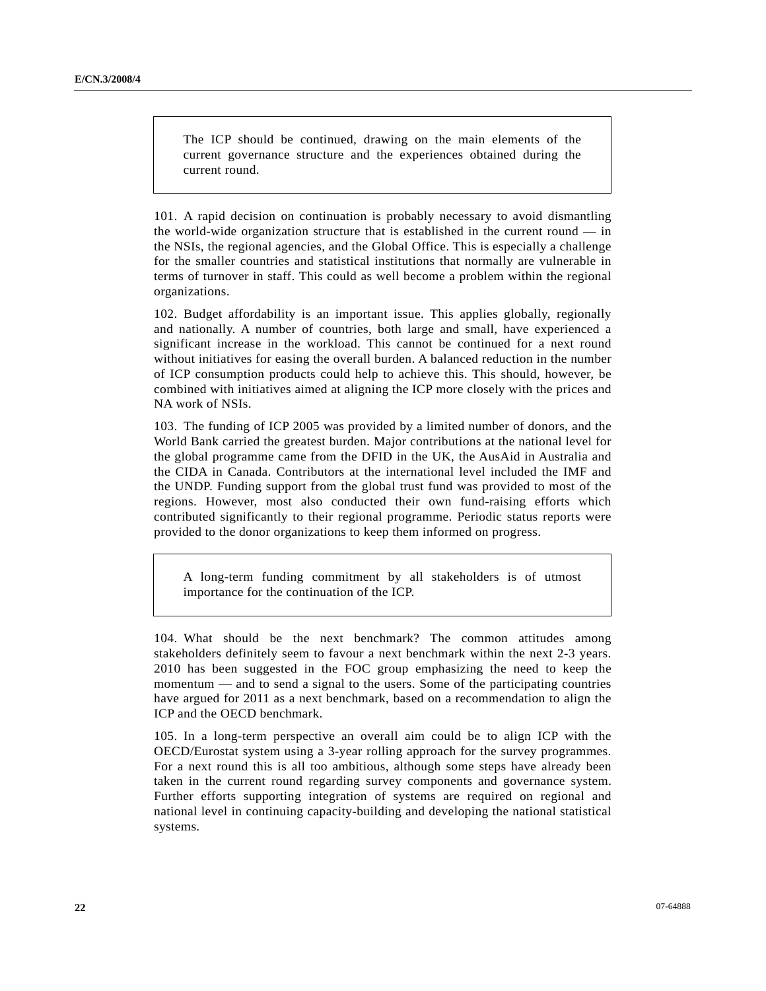The ICP should be continued, drawing on the main elements of the current governance structure and the experiences obtained during the current round.

101. A rapid decision on continuation is probably necessary to avoid dismantling the world-wide organization structure that is established in the current round — in the NSIs, the regional agencies, and the Global Office. This is especially a challenge for the smaller countries and statistical institutions that normally are vulnerable in terms of turnover in staff. This could as well become a problem within the regional organizations.

102. Budget affordability is an important issue. This applies globally, regionally and nationally. A number of countries, both large and small, have experienced a significant increase in the workload. This cannot be continued for a next round without initiatives for easing the overall burden. A balanced reduction in the number of ICP consumption products could help to achieve this. This should, however, be combined with initiatives aimed at aligning the ICP more closely with the prices and NA work of NSIs.

103. The funding of ICP 2005 was provided by a limited number of donors, and the World Bank carried the greatest burden. Major contributions at the national level for the global programme came from the DFID in the UK, the AusAid in Australia and the CIDA in Canada. Contributors at the international level included the IMF and the UNDP. Funding support from the global trust fund was provided to most of the regions. However, most also conducted their own fund-raising efforts which contributed significantly to their regional programme. Periodic status reports were provided to the donor organizations to keep them informed on progress.

A long-term funding commitment by all stakeholders is of utmost importance for the continuation of the ICP.

104. What should be the next benchmark? The common attitudes among stakeholders definitely seem to favour a next benchmark within the next 2-3 years. 2010 has been suggested in the FOC group emphasizing the need to keep the momentum — and to send a signal to the users. Some of the participating countries have argued for 2011 as a next benchmark, based on a recommendation to align the ICP and the OECD benchmark.

105. In a long-term perspective an overall aim could be to align ICP with the OECD/Eurostat system using a 3-year rolling approach for the survey programmes. For a next round this is all too ambitious, although some steps have already been taken in the current round regarding survey components and governance system. Further efforts supporting integration of systems are required on regional and national level in continuing capacity-building and developing the national statistical systems.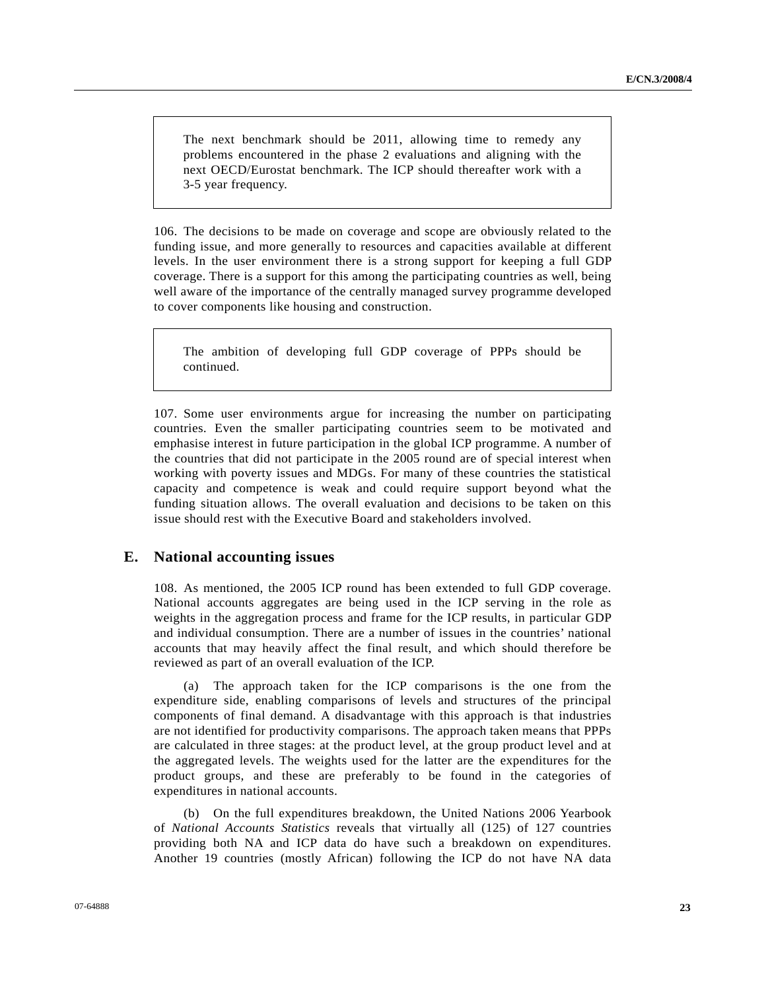The next benchmark should be 2011, allowing time to remedy any problems encountered in the phase 2 evaluations and aligning with the next OECD/Eurostat benchmark. The ICP should thereafter work with a 3-5 year frequency.

106. The decisions to be made on coverage and scope are obviously related to the funding issue, and more generally to resources and capacities available at different levels. In the user environment there is a strong support for keeping a full GDP coverage. There is a support for this among the participating countries as well, being well aware of the importance of the centrally managed survey programme developed to cover components like housing and construction.

The ambition of developing full GDP coverage of PPPs should be continued.

107. Some user environments argue for increasing the number on participating countries. Even the smaller participating countries seem to be motivated and emphasise interest in future participation in the global ICP programme. A number of the countries that did not participate in the 2005 round are of special interest when working with poverty issues and MDGs. For many of these countries the statistical capacity and competence is weak and could require support beyond what the funding situation allows. The overall evaluation and decisions to be taken on this issue should rest with the Executive Board and stakeholders involved.

### **E. National accounting issues**

108. As mentioned, the 2005 ICP round has been extended to full GDP coverage. National accounts aggregates are being used in the ICP serving in the role as weights in the aggregation process and frame for the ICP results, in particular GDP and individual consumption. There are a number of issues in the countries' national accounts that may heavily affect the final result, and which should therefore be reviewed as part of an overall evaluation of the ICP.

 (a) The approach taken for the ICP comparisons is the one from the expenditure side, enabling comparisons of levels and structures of the principal components of final demand. A disadvantage with this approach is that industries are not identified for productivity comparisons. The approach taken means that PPPs are calculated in three stages: at the product level, at the group product level and at the aggregated levels. The weights used for the latter are the expenditures for the product groups, and these are preferably to be found in the categories of expenditures in national accounts.

 (b) On the full expenditures breakdown, the United Nations 2006 Yearbook of *National Accounts Statistics* reveals that virtually all (125) of 127 countries providing both NA and ICP data do have such a breakdown on expenditures. Another 19 countries (mostly African) following the ICP do not have NA data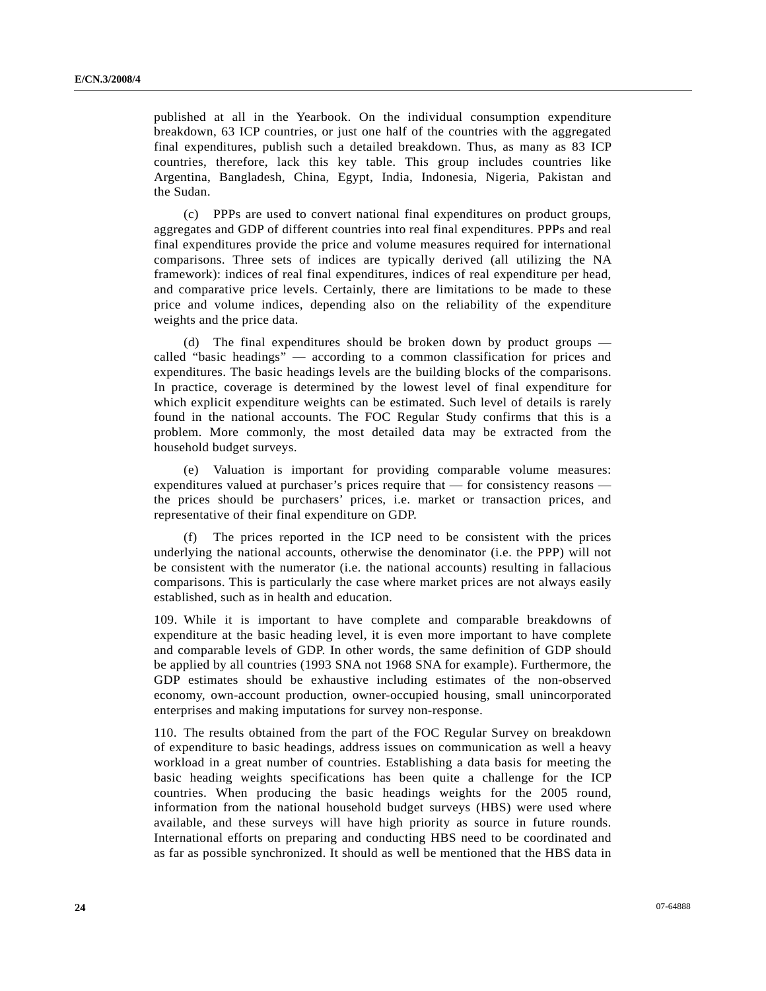published at all in the Yearbook. On the individual consumption expenditure breakdown, 63 ICP countries, or just one half of the countries with the aggregated final expenditures, publish such a detailed breakdown. Thus, as many as 83 ICP countries, therefore, lack this key table. This group includes countries like Argentina, Bangladesh, China, Egypt, India, Indonesia, Nigeria, Pakistan and the Sudan.

 (c) PPPs are used to convert national final expenditures on product groups, aggregates and GDP of different countries into real final expenditures. PPPs and real final expenditures provide the price and volume measures required for international comparisons. Three sets of indices are typically derived (all utilizing the NA framework): indices of real final expenditures, indices of real expenditure per head, and comparative price levels. Certainly, there are limitations to be made to these price and volume indices, depending also on the reliability of the expenditure weights and the price data.

 (d) The final expenditures should be broken down by product groups called "basic headings" — according to a common classification for prices and expenditures. The basic headings levels are the building blocks of the comparisons. In practice, coverage is determined by the lowest level of final expenditure for which explicit expenditure weights can be estimated. Such level of details is rarely found in the national accounts. The FOC Regular Study confirms that this is a problem. More commonly, the most detailed data may be extracted from the household budget surveys.

 (e) Valuation is important for providing comparable volume measures: expenditures valued at purchaser's prices require that — for consistency reasons the prices should be purchasers' prices, i.e. market or transaction prices, and representative of their final expenditure on GDP.

 (f) The prices reported in the ICP need to be consistent with the prices underlying the national accounts, otherwise the denominator (i.e. the PPP) will not be consistent with the numerator (i.e. the national accounts) resulting in fallacious comparisons. This is particularly the case where market prices are not always easily established, such as in health and education.

109. While it is important to have complete and comparable breakdowns of expenditure at the basic heading level, it is even more important to have complete and comparable levels of GDP. In other words, the same definition of GDP should be applied by all countries (1993 SNA not 1968 SNA for example). Furthermore, the GDP estimates should be exhaustive including estimates of the non-observed economy, own-account production, owner-occupied housing, small unincorporated enterprises and making imputations for survey non-response.

110. The results obtained from the part of the FOC Regular Survey on breakdown of expenditure to basic headings, address issues on communication as well a heavy workload in a great number of countries. Establishing a data basis for meeting the basic heading weights specifications has been quite a challenge for the ICP countries. When producing the basic headings weights for the 2005 round, information from the national household budget surveys (HBS) were used where available, and these surveys will have high priority as source in future rounds. International efforts on preparing and conducting HBS need to be coordinated and as far as possible synchronized. It should as well be mentioned that the HBS data in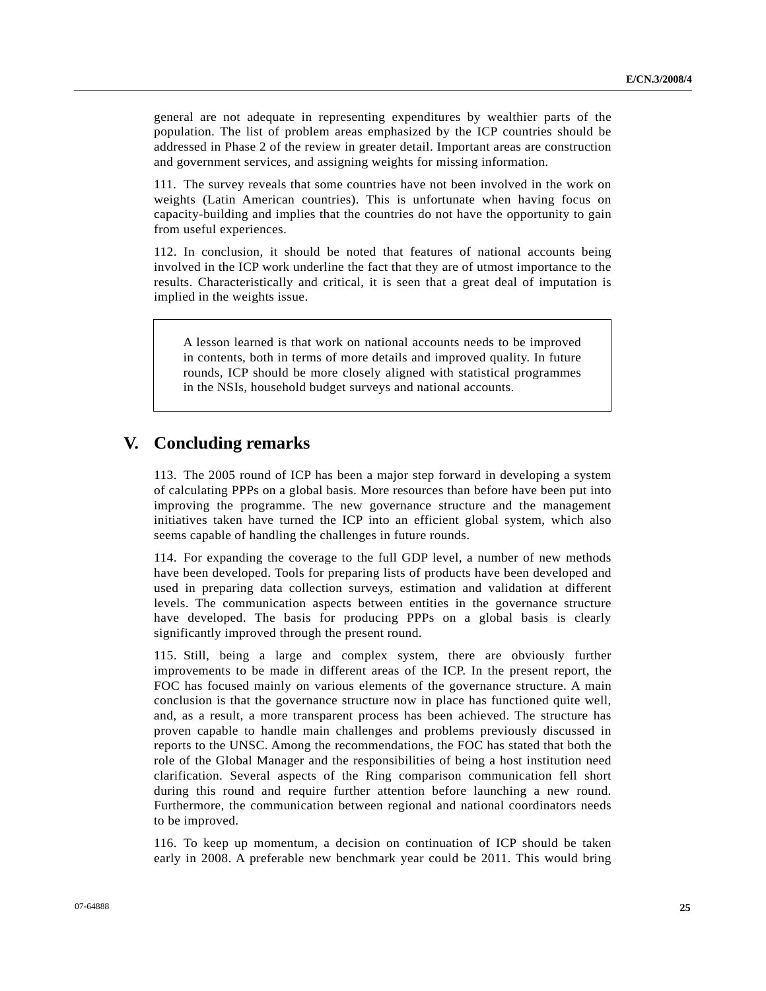general are not adequate in representing expenditures by wealthier parts of the population. The list of problem areas emphasized by the ICP countries should be addressed in Phase 2 of the review in greater detail. Important areas are construction and government services, and assigning weights for missing information.

111. The survey reveals that some countries have not been involved in the work on weights (Latin American countries). This is unfortunate when having focus on capacity-building and implies that the countries do not have the opportunity to gain from useful experiences.

112. In conclusion, it should be noted that features of national accounts being involved in the ICP work underline the fact that they are of utmost importance to the results. Characteristically and critical, it is seen that a great deal of imputation is implied in the weights issue.

A lesson learned is that work on national accounts needs to be improved in contents, both in terms of more details and improved quality. In future rounds, ICP should be more closely aligned with statistical programmes in the NSIs, household budget surveys and national accounts.

# **V. Concluding remarks**

113. The 2005 round of ICP has been a major step forward in developing a system of calculating PPPs on a global basis. More resources than before have been put into improving the programme. The new governance structure and the management initiatives taken have turned the ICP into an efficient global system, which also seems capable of handling the challenges in future rounds.

114. For expanding the coverage to the full GDP level, a number of new methods have been developed. Tools for preparing lists of products have been developed and used in preparing data collection surveys, estimation and validation at different levels. The communication aspects between entities in the governance structure have developed. The basis for producing PPPs on a global basis is clearly significantly improved through the present round.

115. Still, being a large and complex system, there are obviously further improvements to be made in different areas of the ICP. In the present report, the FOC has focused mainly on various elements of the governance structure. A main conclusion is that the governance structure now in place has functioned quite well, and, as a result, a more transparent process has been achieved. The structure has proven capable to handle main challenges and problems previously discussed in reports to the UNSC. Among the recommendations, the FOC has stated that both the role of the Global Manager and the responsibilities of being a host institution need clarification. Several aspects of the Ring comparison communication fell short during this round and require further attention before launching a new round. Furthermore, the communication between regional and national coordinators needs to be improved.

116. To keep up momentum, a decision on continuation of ICP should be taken early in 2008. A preferable new benchmark year could be 2011. This would bring